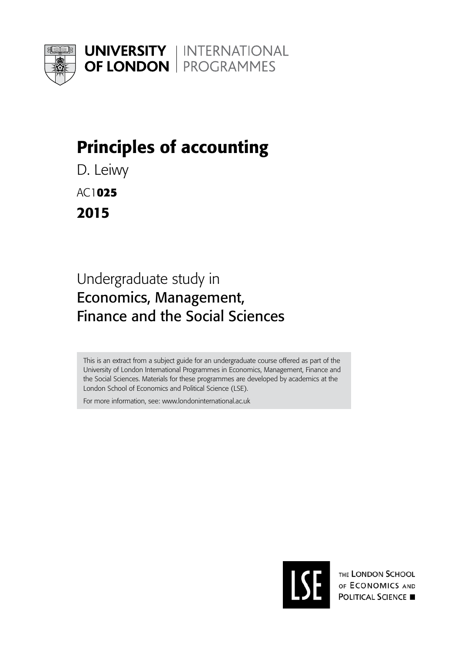<span id="page-0-0"></span>

**UNIVERSITY | INTERNATIONAL OF LONDON** | PROGRAMMES

# Principles of accounting

D. Leiwy

AC1**025** 

2015

# Undergraduate study in Economics, Management, Finance and the Social Sciences

This is an extract from a subject guide for an undergraduate course offered as part of the University of London International Programmes in Economics, Management, Finance and the Social Sciences. Materials for these programmes are developed by academics at the London School of Economics and Political Science (LSE).

For more information, see: www.londoninternational.ac.uk



THE LONDON SCHOOL OF ECONOMICS AND **POLITICAL SCIENCE**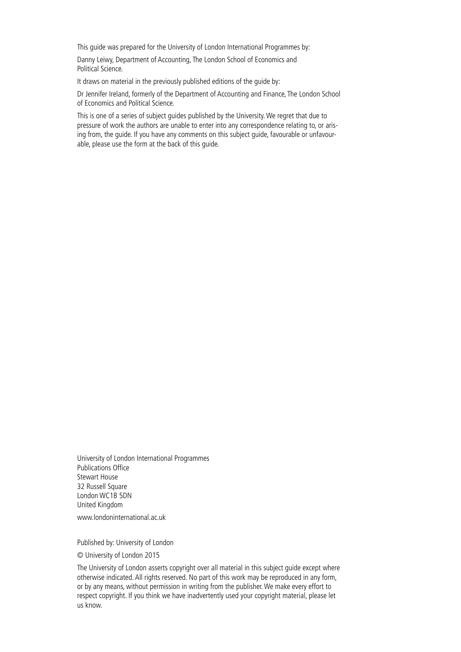This guide was prepared for the University of London International Programmes by:

Danny Leiwy, Department of Accounting, The London School of Economics and Political Science.

It draws on material in the previously published editions of the guide by:

Dr Jennifer Ireland, formerly of the Department of Accounting and Finance, The London School of Economics and Political Science.

This is one of a series of subject guides published by the University. We regret that due to pressure of work the authors are unable to enter into any correspondence relating to, or arising from, the guide. If you have any comments on this subject guide, favourable or unfavourable, please use the form at the back of this guide.

University of London International Programmes Publications Office Stewart House 32 Russell Square London WC1B 5DN United Kingdom

[www.londoninternational.ac.uk](http://www.londoninternational.ac.uk)

Published by: University of London

© University of London 2015

The University of London asserts copyright over all material in this subject guide except where otherwise indicated. All rights reserved. No part of this work may be reproduced in any form, or by any means, without permission in writing from the publisher. We make every effort to respect copyright. If you think we have inadvertently used your copyright material, please let us know.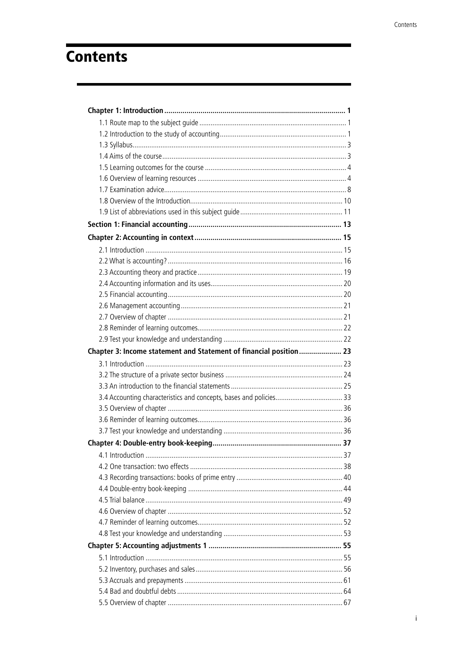# **Contents**

| Chapter 3: Income statement and Statement of financial position 23 |  |
|--------------------------------------------------------------------|--|
|                                                                    |  |
|                                                                    |  |
|                                                                    |  |
|                                                                    |  |
|                                                                    |  |
|                                                                    |  |
|                                                                    |  |
|                                                                    |  |
|                                                                    |  |
|                                                                    |  |
|                                                                    |  |
|                                                                    |  |
|                                                                    |  |
|                                                                    |  |
|                                                                    |  |
|                                                                    |  |
|                                                                    |  |
|                                                                    |  |
|                                                                    |  |
|                                                                    |  |
|                                                                    |  |
|                                                                    |  |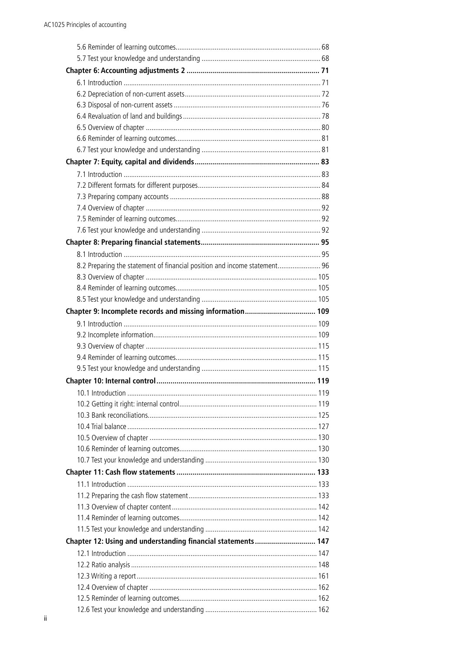| 8.2 Preparing the statement of financial position and income statement 96 |  |
|---------------------------------------------------------------------------|--|
|                                                                           |  |
|                                                                           |  |
|                                                                           |  |
| Chapter 9: Incomplete records and missing information 109                 |  |
|                                                                           |  |
|                                                                           |  |
|                                                                           |  |
|                                                                           |  |
|                                                                           |  |
|                                                                           |  |
|                                                                           |  |
|                                                                           |  |
|                                                                           |  |
|                                                                           |  |
|                                                                           |  |
|                                                                           |  |
|                                                                           |  |
|                                                                           |  |
|                                                                           |  |
|                                                                           |  |
|                                                                           |  |
|                                                                           |  |
|                                                                           |  |
| Chapter 12: Using and understanding financial statements  147             |  |
|                                                                           |  |
|                                                                           |  |
|                                                                           |  |
|                                                                           |  |
|                                                                           |  |
|                                                                           |  |
|                                                                           |  |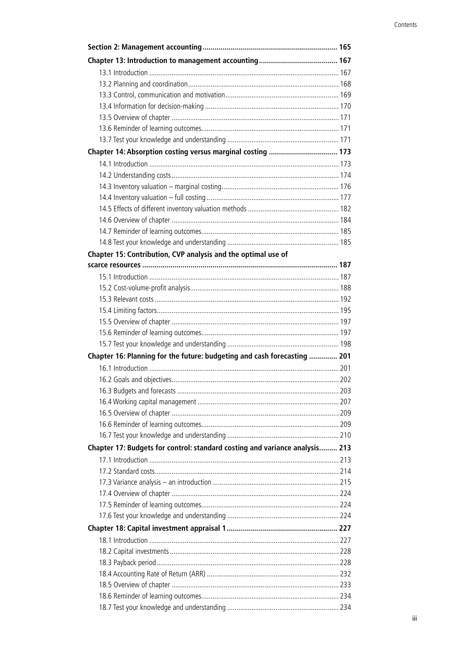| Chapter 14: Absorption costing versus marginal costing  173                 |  |
|-----------------------------------------------------------------------------|--|
|                                                                             |  |
|                                                                             |  |
|                                                                             |  |
|                                                                             |  |
|                                                                             |  |
|                                                                             |  |
|                                                                             |  |
|                                                                             |  |
| Chapter 15: Contribution, CVP analysis and the optimal use of               |  |
|                                                                             |  |
|                                                                             |  |
|                                                                             |  |
|                                                                             |  |
|                                                                             |  |
|                                                                             |  |
|                                                                             |  |
|                                                                             |  |
| Chapter 16: Planning for the future: budgeting and cash forecasting  201    |  |
|                                                                             |  |
|                                                                             |  |
|                                                                             |  |
|                                                                             |  |
|                                                                             |  |
|                                                                             |  |
|                                                                             |  |
| Chapter 17: Budgets for control: standard costing and variance analysis 213 |  |
|                                                                             |  |
|                                                                             |  |
|                                                                             |  |
|                                                                             |  |
|                                                                             |  |
|                                                                             |  |
|                                                                             |  |
|                                                                             |  |
|                                                                             |  |
|                                                                             |  |
|                                                                             |  |
|                                                                             |  |
|                                                                             |  |
|                                                                             |  |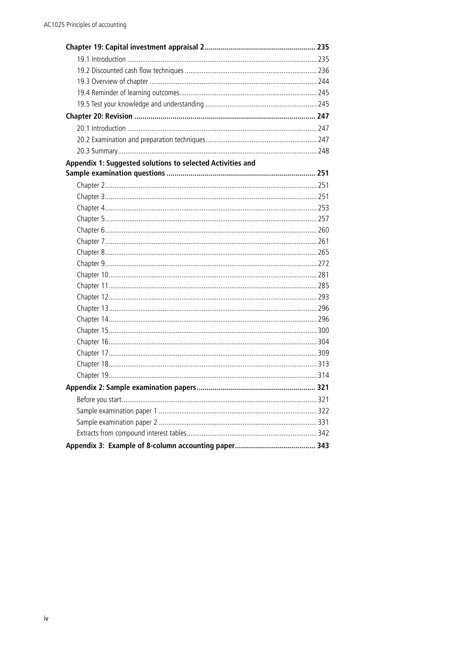| Appendix 1: Suggested solutions to selected Activities and |  |
|------------------------------------------------------------|--|
|                                                            |  |
|                                                            |  |
|                                                            |  |
|                                                            |  |
|                                                            |  |
|                                                            |  |
|                                                            |  |
|                                                            |  |
|                                                            |  |
|                                                            |  |
|                                                            |  |
|                                                            |  |
|                                                            |  |
|                                                            |  |
|                                                            |  |
|                                                            |  |
|                                                            |  |
|                                                            |  |
|                                                            |  |
|                                                            |  |
|                                                            |  |
|                                                            |  |
|                                                            |  |
|                                                            |  |
|                                                            |  |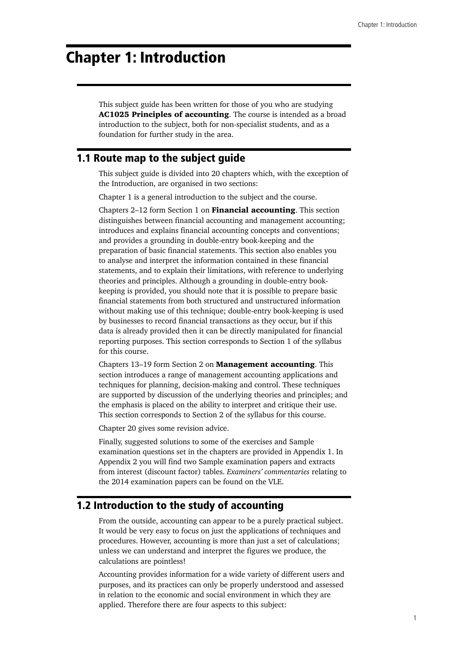# <span id="page-6-0"></span>Chapter 1: Introduction

This subject guide has been written for those of you who are studying AC1025 Principles of accounting. The course is intended as a broad introduction to the subject, both for non-specialist students, and as a foundation for further study in the area.

# 1.1 Route map to the subject guide

This subject guide is divided into 20 chapters which, with the exception of the Introduction, are organised in two sections:

Chapter 1 is a general introduction to the subject and the course.

Chapters 2–12 form Section 1 on Financial accounting. This section distinguishes between financial accounting and management accounting; introduces and explains financial accounting concepts and conventions; and provides a grounding in double-entry book-keeping and the preparation of basic financial statements. This section also enables you to analyse and interpret the information contained in these financial statements, and to explain their limitations, with reference to underlying theories and principles. Although a grounding in double-entry bookkeeping is provided, you should note that it is possible to prepare basic financial statements from both structured and unstructured information without making use of this technique; double-entry book-keeping is used by businesses to record financial transactions as they occur, but if this data is already provided then it can be directly manipulated for financial reporting purposes. This section corresponds to Section 1 of the syllabus for this course.

Chapters 13–19 form Section 2 on Management accounting. This section introduces a range of management accounting applications and techniques for planning, decision-making and control. These techniques are supported by discussion of the underlying theories and principles; and the emphasis is placed on the ability to interpret and critique their use. This section corresponds to Section 2 of the syllabus for this course.

Chapter 20 gives some revision advice.

Finally, suggested solutions to some of the exercises and Sample examination questions set in the chapters are provided in Appendix 1. In Appendix 2 you will find two Sample examination papers and extracts from interest (discount factor) tables. *Examiners' commentaries* relating to the 2014 examination papers can be found on the VLE.

# 1.2 Introduction to the study of accounting

From the outside, accounting can appear to be a purely practical subject. It would be very easy to focus on just the applications of techniques and procedures. However, accounting is more than just a set of calculations; unless we can understand and interpret the figures we produce, the calculations are pointless!

Accounting provides information for a wide variety of different users and purposes, and its practices can only be properly understood and assessed in relation to the economic and social environment in which they are applied. Therefore there are four aspects to this subject: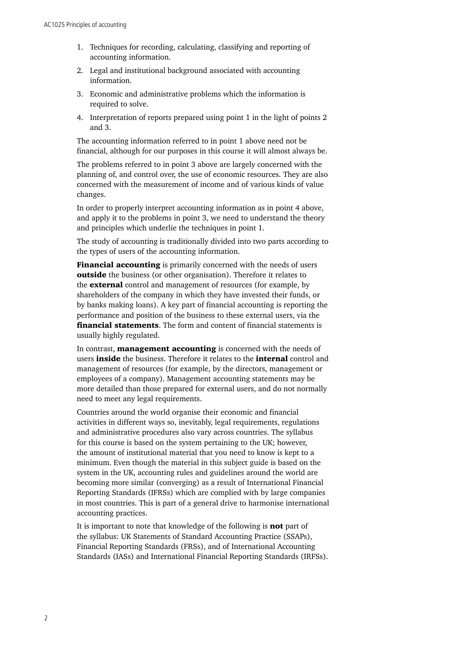- 1. Techniques for recording, calculating, classifying and reporting of accounting information.
- 2. Legal and institutional background associated with accounting information.
- 3. Economic and administrative problems which the information is required to solve.
- 4. Interpretation of reports prepared using point 1 in the light of points 2 and 3.

The accounting information referred to in point 1 above need not be financial, although for our purposes in this course it will almost always be.

The problems referred to in point 3 above are largely concerned with the planning of, and control over, the use of economic resources. They are also concerned with the measurement of income and of various kinds of value changes.

In order to properly interpret accounting information as in point 4 above, and apply it to the problems in point 3, we need to understand the theory and principles which underlie the techniques in point 1.

The study of accounting is traditionally divided into two parts according to the types of users of the accounting information.

Financial accounting is primarily concerned with the needs of users outside the business (or other organisation). Therefore it relates to the **external** control and management of resources (for example, by shareholders of the company in which they have invested their funds, or by banks making loans). A key part of financial accounting is reporting the performance and position of the business to these external users, via the financial statements. The form and content of financial statements is usually highly regulated.

In contrast, **management accounting** is concerned with the needs of users inside the business. Therefore it relates to the internal control and management of resources (for example, by the directors, management or employees of a company). Management accounting statements may be more detailed than those prepared for external users, and do not normally need to meet any legal requirements.

Countries around the world organise their economic and financial activities in different ways so, inevitably, legal requirements, regulations and administrative procedures also vary across countries. The syllabus for this course is based on the system pertaining to the UK; however, the amount of institutional material that you need to know is kept to a minimum. Even though the material in this subject guide is based on the system in the UK, accounting rules and guidelines around the world are becoming more similar (converging) as a result of International Financial Reporting Standards (IFRSs) which are complied with by large companies in most countries. This is part of a general drive to harmonise international accounting practices.

It is important to note that knowledge of the following is **not** part of the syllabus: UK Statements of Standard Accounting Practice (SSAPs), Financial Reporting Standards (FRSs), and of International Accounting Standards (IASs) and International Financial Reporting Standards (IRFSs).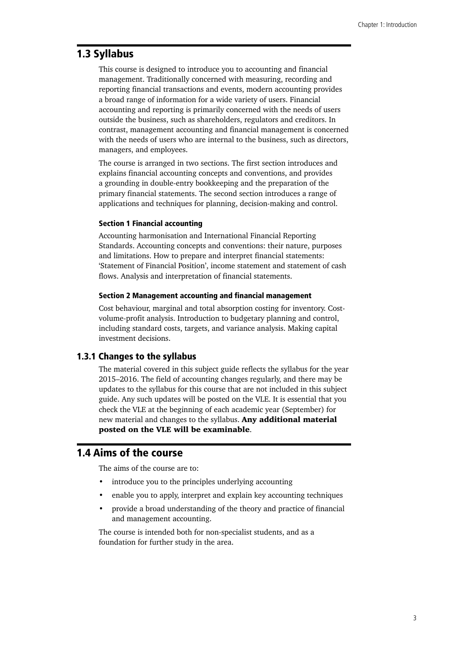# <span id="page-8-0"></span>1.3 Syllabus

This course is designed to introduce you to accounting and financial management. Traditionally concerned with measuring, recording and reporting financial transactions and events, modern accounting provides a broad range of information for a wide variety of users. Financial accounting and reporting is primarily concerned with the needs of users outside the business, such as shareholders, regulators and creditors. In contrast, management accounting and financial management is concerned with the needs of users who are internal to the business, such as directors, managers, and employees.

The course is arranged in two sections. The first section introduces and explains financial accounting concepts and conventions, and provides a grounding in double-entry bookkeeping and the preparation of the primary financial statements. The second section introduces a range of applications and techniques for planning, decision-making and control.

#### Section 1 Financial accounting

Accounting harmonisation and International Financial Reporting Standards. Accounting concepts and conventions: their nature, purposes and limitations. How to prepare and interpret financial statements: 'Statement of Financial Position', income statement and statement of cash flows. Analysis and interpretation of financial statements.

#### Section 2 Management accounting and financial management

Cost behaviour, marginal and total absorption costing for inventory. Costvolume-profit analysis. Introduction to budgetary planning and control, including standard costs, targets, and variance analysis. Making capital investment decisions.

#### 1.3.1 Changes to the syllabus

The material covered in this subject guide reflects the syllabus for the year 2015–2016. The field of accounting changes regularly, and there may be updates to the syllabus for this course that are not included in this subject guide. Any such updates will be posted on the VLE. It is essential that you check the VLE at the beginning of each academic year (September) for new material and changes to the syllabus. Any additional material posted on the VLE will be examinable.

# 1.4 Aims of the course

The aims of the course are to:

- introduce you to the principles underlying accounting
- enable you to apply, interpret and explain key accounting techniques
- provide a broad understanding of the theory and practice of financial and management accounting.

The course is intended both for non-specialist students, and as a foundation for further study in the area.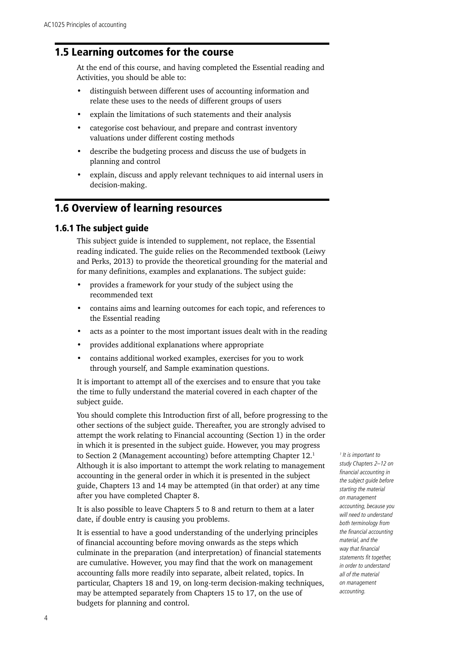# <span id="page-9-0"></span>1.5 Learning outcomes for the course

At the end of this course, and having completed the Essential reading and Activities, you should be able to:

- distinguish between different uses of accounting information and relate these uses to the needs of different groups of users
- explain the limitations of such statements and their analysis
- categorise cost behaviour, and prepare and contrast inventory valuations under different costing methods
- describe the budgeting process and discuss the use of budgets in planning and control
- explain, discuss and apply relevant techniques to aid internal users in decision-making.

# 1.6 Overview of learning resources

## 1.6.1 The subject guide

This subject guide is intended to supplement, not replace, the Essential reading indicated. The guide relies on the Recommended textbook (Leiwy and Perks, 2013) to provide the theoretical grounding for the material and for many definitions, examples and explanations. The subject guide:

- provides a framework for your study of the subject using the recommended text
- contains aims and learning outcomes for each topic, and references to the Essential reading
- acts as a pointer to the most important issues dealt with in the reading
- provides additional explanations where appropriate
- contains additional worked examples, exercises for you to work through yourself, and Sample examination questions.

It is important to attempt all of the exercises and to ensure that you take the time to fully understand the material covered in each chapter of the subject guide.

You should complete this Introduction first of all, before progressing to the other sections of the subject guide. Thereafter, you are strongly advised to attempt the work relating to Financial accounting (Section 1) in the order in which it is presented in the subject guide. However, you may progress to Section 2 (Management accounting) before attempting Chapter 12.1 Although it is also important to attempt the work relating to management accounting in the general order in which it is presented in the subject guide, Chapters 13 and 14 may be attempted (in that order) at any time after you have completed Chapter 8.

It is also possible to leave Chapters 5 to 8 and return to them at a later date, if double entry is causing you problems.

It is essential to have a good understanding of the underlying principles of financial accounting before moving onwards as the steps which culminate in the preparation (and interpretation) of financial statements are cumulative. However, you may find that the work on management accounting falls more readily into separate, albeit related, topics. In particular, Chapters 18 and 19, on long-term decision-making techniques, may be attempted separately from Chapters 15 to 17, on the use of budgets for planning and control.

*1 It is important to study Chapters 2–12 on financial accounting in the subject guide before starting the material on management accounting, because you will need to understand both terminology from the financial accounting material, and the way that financial statements fit together, in order to understand all of the material on management accounting.*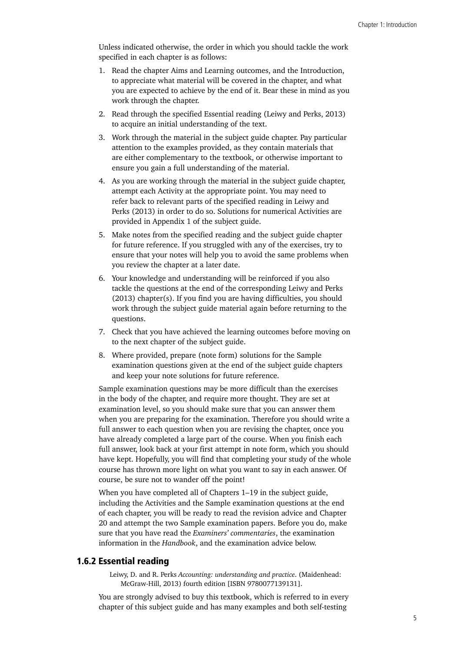Unless indicated otherwise, the order in which you should tackle the work specified in each chapter is as follows:

- 1. Read the chapter Aims and Learning outcomes, and the Introduction, to appreciate what material will be covered in the chapter, and what you are expected to achieve by the end of it. Bear these in mind as you work through the chapter.
- 2. Read through the specified Essential reading (Leiwy and Perks, 2013) to acquire an initial understanding of the text.
- 3. Work through the material in the subject guide chapter. Pay particular attention to the examples provided, as they contain materials that are either complementary to the textbook, or otherwise important to ensure you gain a full understanding of the material.
- 4. As you are working through the material in the subject guide chapter, attempt each Activity at the appropriate point. You may need to refer back to relevant parts of the specified reading in Leiwy and Perks (2013) in order to do so. Solutions for numerical Activities are provided in Appendix 1 of the subject guide.
- 5. Make notes from the specified reading and the subject guide chapter for future reference. If you struggled with any of the exercises, try to ensure that your notes will help you to avoid the same problems when you review the chapter at a later date.
- 6. Your knowledge and understanding will be reinforced if you also tackle the questions at the end of the corresponding Leiwy and Perks (2013) chapter(s). If you find you are having difficulties, you should work through the subject guide material again before returning to the questions.
- 7. Check that you have achieved the learning outcomes before moving on to the next chapter of the subject guide.
- 8. Where provided, prepare (note form) solutions for the Sample examination questions given at the end of the subject guide chapters and keep your note solutions for future reference.

Sample examination questions may be more difficult than the exercises in the body of the chapter, and require more thought. They are set at examination level, so you should make sure that you can answer them when you are preparing for the examination. Therefore you should write a full answer to each question when you are revising the chapter, once you have already completed a large part of the course. When you finish each full answer, look back at your first attempt in note form, which you should have kept. Hopefully, you will find that completing your study of the whole course has thrown more light on what you want to say in each answer. Of course, be sure not to wander off the point!

When you have completed all of Chapters 1–19 in the subject guide, including the Activities and the Sample examination questions at the end of each chapter, you will be ready to read the revision advice and Chapter 20 and attempt the two Sample examination papers. Before you do, make sure that you have read the *Examiners' commentaries*, the examination information in the *Handbook*, and the examination advice below.

# 1.6.2 Essential reading

Leiwy, D. and R. Perks *Accounting: understanding and practice*. (Maidenhead: McGraw-Hill, 2013) fourth edition [ISBN 9780077139131].

You are strongly advised to buy this textbook, which is referred to in every chapter of this subject guide and has many examples and both self-testing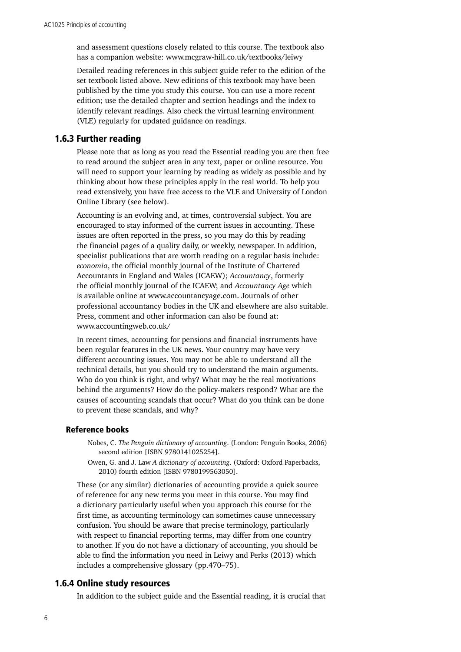and assessment questions closely related to this course. The textbook also has a companion website: www.mcgraw-hill.co.uk/textbooks/leiwy

Detailed reading references in this subject guide refer to the edition of the set textbook listed above. New editions of this textbook may have been published by the time you study this course. You can use a more recent edition; use the detailed chapter and section headings and the index to identify relevant readings. Also check the virtual learning environment (VLE) regularly for updated guidance on readings.

### 1.6.3 Further reading

Please note that as long as you read the Essential reading you are then free to read around the subject area in any text, paper or online resource. You will need to support your learning by reading as widely as possible and by thinking about how these principles apply in the real world. To help you read extensively, you have free access to the VLE and University of London Online Library (see below).

Accounting is an evolving and, at times, controversial subject. You are encouraged to stay informed of the current issues in accounting. These issues are often reported in the press, so you may do this by reading the financial pages of a quality daily, or weekly, newspaper. In addition, specialist publications that are worth reading on a regular basis include: *economia*, the official monthly journal of the Institute of Chartered Accountants in England and Wales (ICAEW); *Accountancy*, formerly the official monthly journal of the ICAEW; and *Accountancy Age* which is available online at www.accountancyage.com. Journals of other professional accountancy bodies in the UK and elsewhere are also suitable. Press, comment and other information can also be found at: www.accountingweb.co.uk/

In recent times, accounting for pensions and financial instruments have been regular features in the UK news. Your country may have very different accounting issues. You may not be able to understand all the technical details, but you should try to understand the main arguments. Who do you think is right, and why? What may be the real motivations behind the arguments? How do the policy-makers respond? What are the causes of accounting scandals that occur? What do you think can be done to prevent these scandals, and why?

#### Reference books

- Nobes, C. *The Penguin dictionary of accounting*. (London: Penguin Books, 2006) second edition [ISBN 9780141025254].
- Owen, G. and J. Law *A dictionary of accounting*. (Oxford: Oxford Paperbacks, 2010) fourth edition [ISBN 9780199563050].

These (or any similar) dictionaries of accounting provide a quick source of reference for any new terms you meet in this course. You may find a dictionary particularly useful when you approach this course for the first time, as accounting terminology can sometimes cause unnecessary confusion. You should be aware that precise terminology, particularly with respect to financial reporting terms, may differ from one country to another. If you do not have a dictionary of accounting, you should be able to find the information you need in Leiwy and Perks (2013) which includes a comprehensive glossary (pp.470–75).

# 1.6.4 Online study resources

In addition to the subject guide and the Essential reading, it is crucial that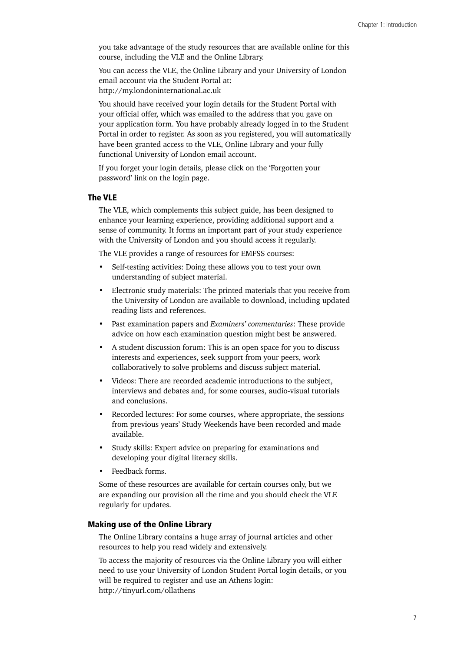you take advantage of the study resources that are available online for this course, including the VLE and the Online Library.

You can access the VLE, the Online Library and your University of London email account via the Student Portal at: <http://my.londoninternational.ac.uk>

You should have received your login details for the Student Portal with your official offer, which was emailed to the address that you gave on your application form. You have probably already logged in to the Student Portal in order to register. As soon as you registered, you will automatically have been granted access to the VLE, Online Library and your fully functional University of London email account.

If you forget your login details, please click on the 'Forgotten your password' link on the login page.

#### The VLE

The VLE, which complements this subject guide, has been designed to enhance your learning experience, providing additional support and a sense of community. It forms an important part of your study experience with the University of London and you should access it regularly.

The VLE provides a range of resources for EMFSS courses:

- Self-testing activities: Doing these allows you to test your own understanding of subject material.
- Electronic study materials: The printed materials that you receive from the University of London are available to download, including updated reading lists and references.
- Past examination papers and *Examiners' commentaries*: These provide advice on how each examination question might best be answered.
- A student discussion forum: This is an open space for you to discuss interests and experiences, seek support from your peers, work collaboratively to solve problems and discuss subject material.
- Videos: There are recorded academic introductions to the subject, interviews and debates and, for some courses, audio-visual tutorials and conclusions.
- Recorded lectures: For some courses, where appropriate, the sessions from previous years' Study Weekends have been recorded and made available.
- Study skills: Expert advice on preparing for examinations and developing your digital literacy skills.
- Feedback forms.

Some of these resources are available for certain courses only, but we are expanding our provision all the time and you should check the VLE regularly for updates.

#### Making use of the Online Library

The Online Library contains a huge array of journal articles and other resources to help you read widely and extensively.

To access the majority of resources via the Online Library you will either need to use your University of London Student Portal login details, or you will be required to register and use an Athens login: <http://tinyurl.com/ollathens>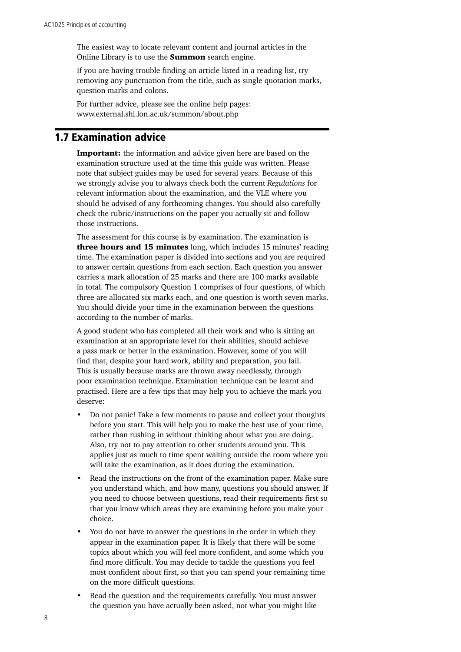<span id="page-13-0"></span>The easiest way to locate relevant content and journal articles in the Online Library is to use the **Summon** search engine.

If you are having trouble finding an article listed in a reading list, try removing any punctuation from the title, such as single quotation marks, question marks and colons.

For further advice, please see the online help pages: [www.external.shl.lon.ac.uk/summon/about.php](file:///E:/25%20to%20typeset/www.external.shl.lon.ac.uk/summon/about.php)

# 1.7 Examination advice

**Important:** the information and advice given here are based on the examination structure used at the time this guide was written. Please note that subject guides may be used for several years. Because of this we strongly advise you to always check both the current *Regulations* for relevant information about the examination, and the VLE where you should be advised of any forthcoming changes. You should also carefully check the rubric/instructions on the paper you actually sit and follow those instructions.

The assessment for this course is by examination. The examination is three hours and 15 minutes long, which includes 15 minutes' reading time. The examination paper is divided into sections and you are required to answer certain questions from each section. Each question you answer carries a mark allocation of 25 marks and there are 100 marks available in total. The compulsory Question 1 comprises of four questions, of which three are allocated six marks each, and one question is worth seven marks. You should divide your time in the examination between the questions according to the number of marks.

A good student who has completed all their work and who is sitting an examination at an appropriate level for their abilities, should achieve a pass mark or better in the examination. However, some of you will find that, despite your hard work, ability and preparation, you fail. This is usually because marks are thrown away needlessly, through poor examination technique. Examination technique can be learnt and practised. Here are a few tips that may help you to achieve the mark you deserve:

- Do not panic! Take a few moments to pause and collect your thoughts before you start. This will help you to make the best use of your time, rather than rushing in without thinking about what you are doing. Also, try not to pay attention to other students around you. This applies just as much to time spent waiting outside the room where you will take the examination, as it does during the examination.
- Read the instructions on the front of the examination paper. Make sure you understand which, and how many, questions you should answer. If you need to choose between questions, read their requirements first so that you know which areas they are examining before you make your choice.
- You do not have to answer the questions in the order in which they appear in the examination paper. It is likely that there will be some topics about which you will feel more confident, and some which you find more difficult. You may decide to tackle the questions you feel most confident about first, so that you can spend your remaining time on the more difficult questions.
- Read the question and the requirements carefully. You must answer the question you have actually been asked, not what you might like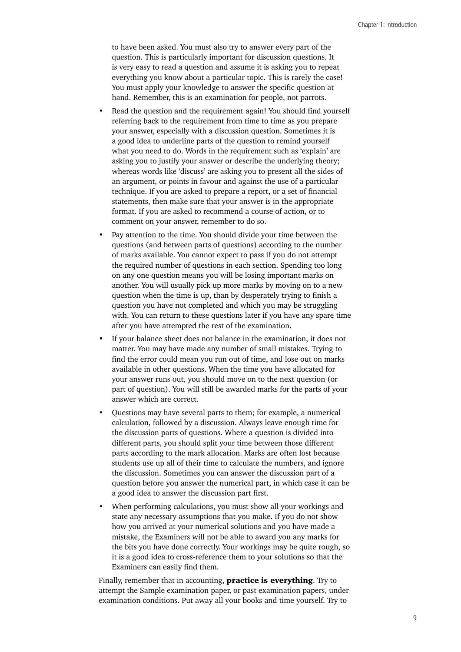to have been asked. You must also try to answer every part of the question. This is particularly important for discussion questions. It is very easy to read a question and assume it is asking you to repeat everything you know about a particular topic. This is rarely the case! You must apply your knowledge to answer the specific question at hand. Remember, this is an examination for people, not parrots.

- Read the question and the requirement again! You should find yourself referring back to the requirement from time to time as you prepare your answer, especially with a discussion question. Sometimes it is a good idea to underline parts of the question to remind yourself what you need to do. Words in the requirement such as 'explain' are asking you to justify your answer or describe the underlying theory; whereas words like 'discuss' are asking you to present all the sides of an argument, or points in favour and against the use of a particular technique. If you are asked to prepare a report, or a set of financial statements, then make sure that your answer is in the appropriate format. If you are asked to recommend a course of action, or to comment on your answer, remember to do so.
- Pay attention to the time. You should divide your time between the questions (and between parts of questions) according to the number of marks available. You cannot expect to pass if you do not attempt the required number of questions in each section. Spending too long on any one question means you will be losing important marks on another. You will usually pick up more marks by moving on to a new question when the time is up, than by desperately trying to finish a question you have not completed and which you may be struggling with. You can return to these questions later if you have any spare time after you have attempted the rest of the examination.
- If your balance sheet does not balance in the examination, it does not matter. You may have made any number of small mistakes. Trying to find the error could mean you run out of time, and lose out on marks available in other questions. When the time you have allocated for your answer runs out, you should move on to the next question (or part of question). You will still be awarded marks for the parts of your answer which are correct.
- Questions may have several parts to them; for example, a numerical calculation, followed by a discussion. Always leave enough time for the discussion parts of questions. Where a question is divided into different parts, you should split your time between those different parts according to the mark allocation. Marks are often lost because students use up all of their time to calculate the numbers, and ignore the discussion. Sometimes you can answer the discussion part of a question before you answer the numerical part, in which case it can be a good idea to answer the discussion part first.
- When performing calculations, you must show all your workings and state any necessary assumptions that you make. If you do not show how you arrived at your numerical solutions and you have made a mistake, the Examiners will not be able to award you any marks for the bits you have done correctly. Your workings may be quite rough, so it is a good idea to cross-reference them to your solutions so that the Examiners can easily find them.

Finally, remember that in accounting, **practice is everything**. Try to attempt the Sample examination paper, or past examination papers, under examination conditions. Put away all your books and time yourself. Try to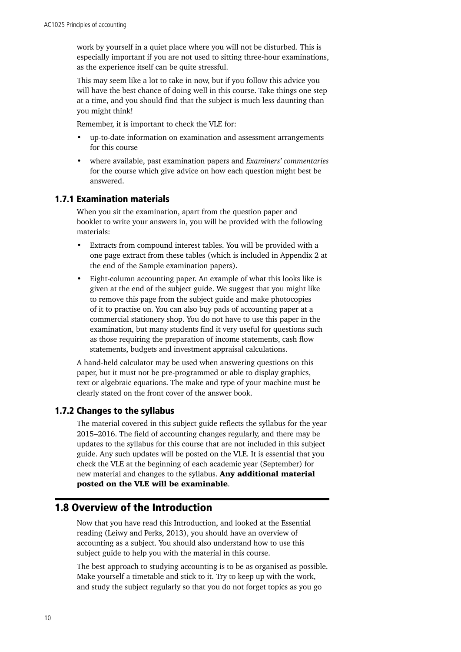<span id="page-15-0"></span>work by yourself in a quiet place where you will not be disturbed. This is especially important if you are not used to sitting three-hour examinations, as the experience itself can be quite stressful.

This may seem like a lot to take in now, but if you follow this advice you will have the best chance of doing well in this course. Take things one step at a time, and you should find that the subject is much less daunting than you might think!

Remember, it is important to check the VLE for:

- up-to-date information on examination and assessment arrangements for this course
- where available, past examination papers and *Examiners' commentaries* for the course which give advice on how each question might best be answered.

## 1.7.1 Examination materials

When you sit the examination, apart from the question paper and booklet to write your answers in, you will be provided with the following materials:

- Extracts from compound interest tables. You will be provided with a one page extract from these tables (which is included in Appendix 2 at the end of the Sample examination papers).
- Eight-column accounting paper. An example of what this looks like is given at the end of the subject guide. We suggest that you might like to remove this page from the subject guide and make photocopies of it to practise on. You can also buy pads of accounting paper at a commercial stationery shop. You do not have to use this paper in the examination, but many students find it very useful for questions such as those requiring the preparation of income statements, cash flow statements, budgets and investment appraisal calculations.

A hand-held calculator may be used when answering questions on this paper, but it must not be pre-programmed or able to display graphics, text or algebraic equations. The make and type of your machine must be clearly stated on the front cover of the answer book.

# 1.7.2 Changes to the syllabus

The material covered in this subject guide reflects the syllabus for the year 2015–2016. The field of accounting changes regularly, and there may be updates to the syllabus for this course that are not included in this subject guide. Any such updates will be posted on the VLE. It is essential that you check the VLE at the beginning of each academic year (September) for new material and changes to the syllabus. Any additional material posted on the VLE will be examinable.

# 1.8 Overview of the Introduction

Now that you have read this Introduction, and looked at the Essential reading (Leiwy and Perks, 2013), you should have an overview of accounting as a subject. You should also understand how to use this subject guide to help you with the material in this course.

The best approach to studying accounting is to be as organised as possible. Make yourself a timetable and stick to it. Try to keep up with the work, and study the subject regularly so that you do not forget topics as you go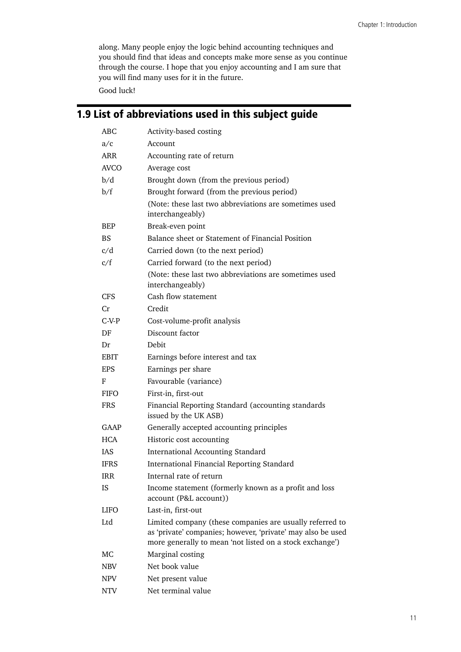<span id="page-16-0"></span>along. Many people enjoy the logic behind accounting techniques and you should find that ideas and concepts make more sense as you continue through the course. I hope that you enjoy accounting and I am sure that you will find many uses for it in the future.

Good luck!

# 1.9 List of abbreviations used in this subject guide

| ABC         | Activity-based costing                                                                                                                                                              |
|-------------|-------------------------------------------------------------------------------------------------------------------------------------------------------------------------------------|
| a/c         | Account                                                                                                                                                                             |
| <b>ARR</b>  | Accounting rate of return                                                                                                                                                           |
| <b>AVCO</b> | Average cost                                                                                                                                                                        |
| b/d         | Brought down (from the previous period)                                                                                                                                             |
| b/f         | Brought forward (from the previous period)                                                                                                                                          |
|             | (Note: these last two abbreviations are sometimes used<br>interchangeably)                                                                                                          |
| BEP         | Break-even point                                                                                                                                                                    |
| BS.         | Balance sheet or Statement of Financial Position                                                                                                                                    |
| c/d         | Carried down (to the next period)                                                                                                                                                   |
| c/f         | Carried forward (to the next period)                                                                                                                                                |
|             | (Note: these last two abbreviations are sometimes used<br>interchangeably)                                                                                                          |
| <b>CFS</b>  | Cash flow statement                                                                                                                                                                 |
| Cr          | Credit                                                                                                                                                                              |
| $C-V-P$     | Cost-volume-profit analysis                                                                                                                                                         |
| DF          | Discount factor                                                                                                                                                                     |
| Dr          | Debit                                                                                                                                                                               |
| EBIT        | Earnings before interest and tax                                                                                                                                                    |
| <b>EPS</b>  | Earnings per share                                                                                                                                                                  |
| F           | Favourable (variance)                                                                                                                                                               |
| <b>FIFO</b> | First-in, first-out                                                                                                                                                                 |
| <b>FRS</b>  | Financial Reporting Standard (accounting standards<br>issued by the UK ASB)                                                                                                         |
| GAAP        | Generally accepted accounting principles                                                                                                                                            |
| <b>HCA</b>  | Historic cost accounting                                                                                                                                                            |
| <b>IAS</b>  | <b>International Accounting Standard</b>                                                                                                                                            |
| <b>IFRS</b> | International Financial Reporting Standard                                                                                                                                          |
| <b>IRR</b>  | Internal rate of return                                                                                                                                                             |
| ΙS          | Income statement (formerly known as a profit and loss<br>account (P&L account))                                                                                                     |
| <b>LIFO</b> | Last-in, first-out                                                                                                                                                                  |
| Ltd         | Limited company (these companies are usually referred to<br>as 'private' companies; however, 'private' may also be used<br>more generally to mean 'not listed on a stock exchange') |
| МC          | Marginal costing                                                                                                                                                                    |
| <b>NBV</b>  | Net book value                                                                                                                                                                      |
| <b>NPV</b>  | Net present value                                                                                                                                                                   |
| <b>NTV</b>  | Net terminal value                                                                                                                                                                  |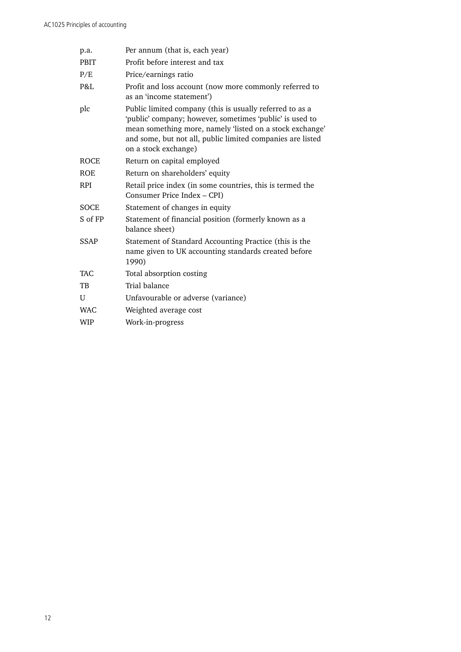| p.a.         | Per annum (that is, each year)                                                                                                                                                                                                                                         |
|--------------|------------------------------------------------------------------------------------------------------------------------------------------------------------------------------------------------------------------------------------------------------------------------|
| <b>PBIT</b>  | Profit before interest and tax                                                                                                                                                                                                                                         |
| P/E          | Price/earnings ratio                                                                                                                                                                                                                                                   |
| P&L          | Profit and loss account (now more commonly referred to<br>as an 'income statement')                                                                                                                                                                                    |
| plc          | Public limited company (this is usually referred to as a<br>'public' company; however, sometimes 'public' is used to<br>mean something more, namely 'listed on a stock exchange'<br>and some, but not all, public limited companies are listed<br>on a stock exchange) |
| <b>ROCE</b>  | Return on capital employed                                                                                                                                                                                                                                             |
| <b>ROE</b>   | Return on shareholders' equity                                                                                                                                                                                                                                         |
| <b>RPI</b>   | Retail price index (in some countries, this is termed the<br>Consumer Price Index - CPI)                                                                                                                                                                               |
| SOCE         | Statement of changes in equity                                                                                                                                                                                                                                         |
| S of FP      | Statement of financial position (formerly known as a<br>balance sheet)                                                                                                                                                                                                 |
| SSAP         | Statement of Standard Accounting Practice (this is the<br>name given to UK accounting standards created before<br>1990)                                                                                                                                                |
| <b>TAC</b>   | Total absorption costing                                                                                                                                                                                                                                               |
| TB           | Trial balance                                                                                                                                                                                                                                                          |
| $\mathbf{U}$ | Unfavourable or adverse (variance)                                                                                                                                                                                                                                     |
| <b>WAC</b>   | Weighted average cost                                                                                                                                                                                                                                                  |
| <b>WIP</b>   | Work-in-progress                                                                                                                                                                                                                                                       |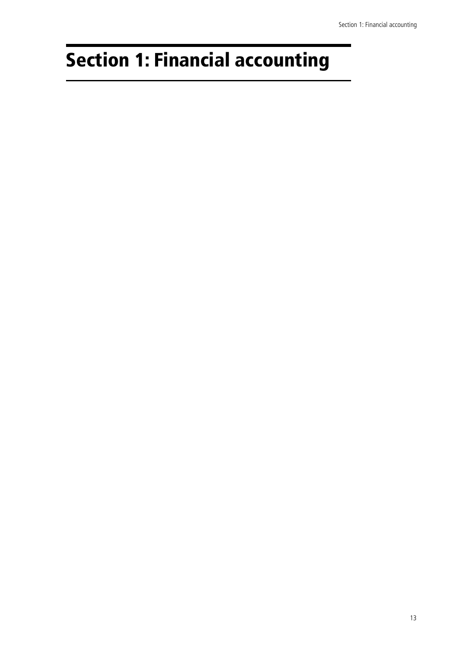# <span id="page-18-0"></span>Section 1: Financial accounting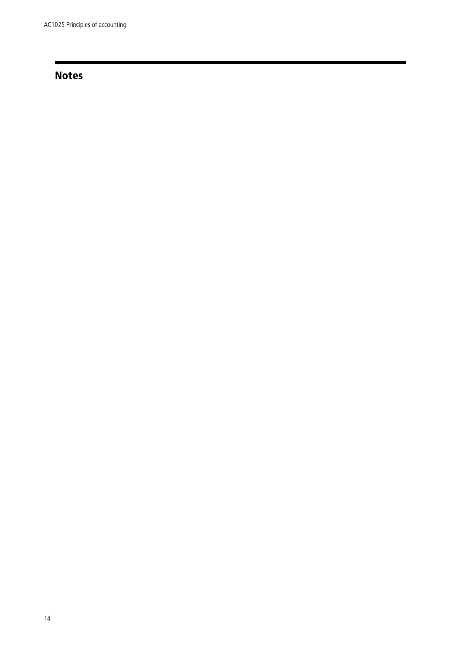# Notes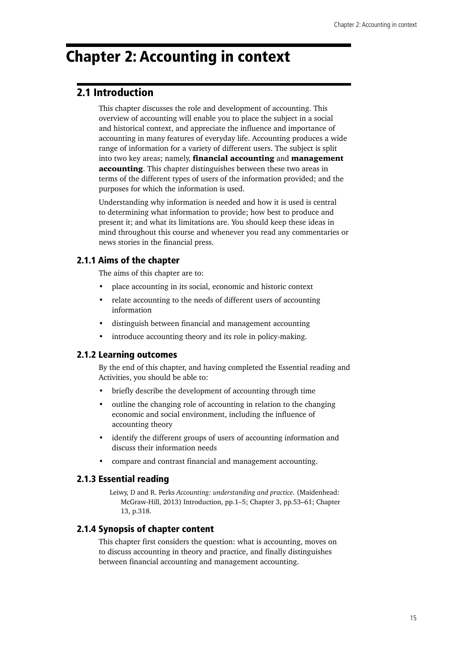# <span id="page-20-0"></span>Chapter 2: Accounting in context

# 2.1 Introduction

This chapter discusses the role and development of accounting. This overview of accounting will enable you to place the subject in a social and historical context, and appreciate the influence and importance of accounting in many features of everyday life. Accounting produces a wide range of information for a variety of different users. The subject is split into two key areas; namely, **financial accounting** and **management** accounting. This chapter distinguishes between these two areas in terms of the different types of users of the information provided; and the purposes for which the information is used.

Understanding why information is needed and how it is used is central to determining what information to provide; how best to produce and present it; and what its limitations are. You should keep these ideas in mind throughout this course and whenever you read any commentaries or news stories in the financial press.

# 2.1.1 Aims of the chapter

The aims of this chapter are to:

- place accounting in its social, economic and historic context
- relate accounting to the needs of different users of accounting information
- distinguish between financial and management accounting
- introduce accounting theory and its role in policy-making.

# 2.1.2 Learning outcomes

By the end of this chapter, and having completed the Essential reading and Activities, you should be able to:

- briefly describe the development of accounting through time
- outline the changing role of accounting in relation to the changing economic and social environment, including the influence of accounting theory
- identify the different groups of users of accounting information and discuss their information needs
- compare and contrast financial and management accounting.

## 2.1.3 Essential reading

Leiwy, D and R. Perks *Accounting: understanding and practice*. (Maidenhead: McGraw-Hill, 2013) Introduction, pp.1–5; Chapter 3, pp.53–61; Chapter 13, p.318.

# 2.1.4 Synopsis of chapter content

This chapter first considers the question: what is accounting, moves on to discuss accounting in theory and practice, and finally distinguishes between financial accounting and management accounting.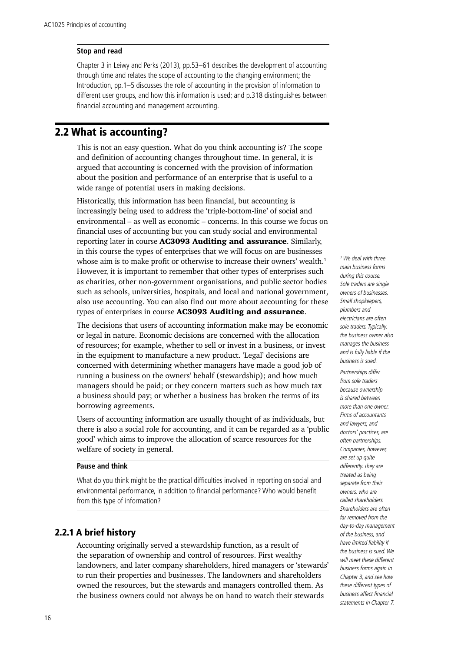#### <span id="page-21-0"></span>**Stop and read**

Chapter 3 in Leiwy and Perks (2013), pp.53–61 describes the development of accounting through time and relates the scope of accounting to the changing environment; the Introduction, pp.1–5 discusses the role of accounting in the provision of information to different user groups, and how this information is used; and p.318 distinguishes between financial accounting and management accounting.

# 2.2 What is accounting?

This is not an easy question. What do you think accounting is? The scope and definition of accounting changes throughout time. In general, it is argued that accounting is concerned with the provision of information about the position and performance of an enterprise that is useful to a wide range of potential users in making decisions.

Historically, this information has been financial, but accounting is increasingly being used to address the 'triple-bottom-line' of social and environmental – as well as economic – concerns. In this course we focus on financial uses of accounting but you can study social and environmental reporting later in course AC3093 Auditing and assurance. Similarly, in this course the types of enterprises that we will focus on are businesses whose aim is to make profit or otherwise to increase their owners' wealth.<sup>1</sup> However, it is important to remember that other types of enterprises such as charities, other non-government organisations, and public sector bodies such as schools, universities, hospitals, and local and national government, also use accounting. You can also find out more about accounting for these types of enterprises in course AC3093 Auditing and assurance.

The decisions that users of accounting information make may be economic or legal in nature. Economic decisions are concerned with the allocation of resources; for example, whether to sell or invest in a business, or invest in the equipment to manufacture a new product. 'Legal' decisions are concerned with determining whether managers have made a good job of running a business on the owners' behalf (stewardship); and how much managers should be paid; or they concern matters such as how much tax a business should pay; or whether a business has broken the terms of its borrowing agreements.

Users of accounting information are usually thought of as individuals, but there is also a social role for accounting, and it can be regarded as a 'public good' which aims to improve the allocation of scarce resources for the welfare of society in general.

#### **Pause and think**

What do you think might be the practical difficulties involved in reporting on social and environmental performance, in addition to financial performance? Who would benefit from this type of information?

# 2.2.1 A brief history

Accounting originally served a stewardship function, as a result of the separation of ownership and control of resources. First wealthy landowners, and later company shareholders, hired managers or 'stewards' to run their properties and businesses. The landowners and shareholders owned the resources, but the stewards and managers controlled them. As the business owners could not always be on hand to watch their stewards

*1 We deal with three main business forms during this course. Sole traders are single owners of businesses. Small shopkeepers, plumbers and electricians are often sole traders. Typically, the business owner also manages the business and is fully liable if the business is sued.* 

*Partnerships differ from sole traders because ownership is shared between more than one owner. Firms of accountants and lawyers, and doctors' practices, are often partnerships. Companies, however, are set up quite differently. They are treated as being separate from their owners, who are called shareholders. Shareholders are often far removed from the day-to-day management of the business, and have limited liability if the business is sued. We will meet these different business forms again in Chapter 3, and see how these different types of business affect financial statements in Chapter 7.*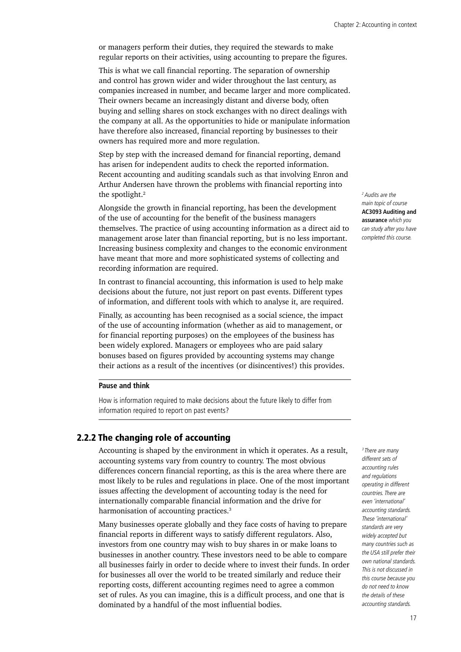or managers perform their duties, they required the stewards to make regular reports on their activities, using accounting to prepare the figures.

This is what we call financial reporting. The separation of ownership and control has grown wider and wider throughout the last century, as companies increased in number, and became larger and more complicated. Their owners became an increasingly distant and diverse body, often buying and selling shares on stock exchanges with no direct dealings with the company at all. As the opportunities to hide or manipulate information have therefore also increased, financial reporting by businesses to their owners has required more and more regulation.

Step by step with the increased demand for financial reporting, demand has arisen for independent audits to check the reported information. Recent accounting and auditing scandals such as that involving Enron and Arthur Andersen have thrown the problems with financial reporting into the spotlight.<sup>2</sup>

Alongside the growth in financial reporting, has been the development of the use of accounting for the benefit of the business managers themselves. The practice of using accounting information as a direct aid to management arose later than financial reporting, but is no less important. Increasing business complexity and changes to the economic environment have meant that more and more sophisticated systems of collecting and recording information are required.

In contrast to financial accounting, this information is used to help make decisions about the future, not just report on past events. Different types of information, and different tools with which to analyse it, are required.

Finally, as accounting has been recognised as a social science, the impact of the use of accounting information (whether as aid to management, or for financial reporting purposes) on the employees of the business has been widely explored. Managers or employees who are paid salary bonuses based on figures provided by accounting systems may change their actions as a result of the incentives (or disincentives!) this provides.

## **Pause and think**

How is information required to make decisions about the future likely to differ from information required to report on past events?

# 2.2.2 The changing role of accounting

Accounting is shaped by the environment in which it operates. As a result, accounting systems vary from country to country. The most obvious differences concern financial reporting, as this is the area where there are most likely to be rules and regulations in place. One of the most important issues affecting the development of accounting today is the need for internationally comparable financial information and the drive for harmonisation of accounting practices.<sup>3</sup>

Many businesses operate globally and they face costs of having to prepare financial reports in different ways to satisfy different regulators. Also, investors from one country may wish to buy shares in or make loans to businesses in another country. These investors need to be able to compare all businesses fairly in order to decide where to invest their funds. In order for businesses all over the world to be treated similarly and reduce their reporting costs, different accounting regimes need to agree a common set of rules. As you can imagine, this is a difficult process, and one that is dominated by a handful of the most influential bodies.

*2 Audits are the main topic of course*  **AC3093 Auditing and assurance** *which you can study after you have completed this course.*

*different sets of accounting rules and regulations operating in different countries. There are even 'international' accounting standards. These 'international' standards are very widely accepted but many countries such as the USA still prefer their own national standards. This is not discussed in this course because you do not need to know the details of these accounting standards.*

*3 There are many*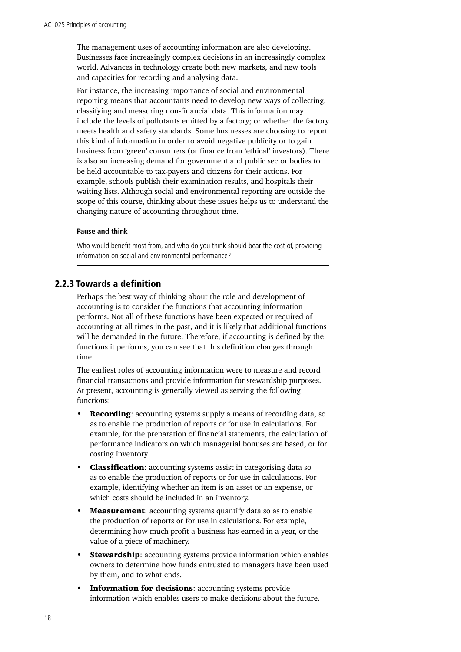The management uses of accounting information are also developing. Businesses face increasingly complex decisions in an increasingly complex world. Advances in technology create both new markets, and new tools and capacities for recording and analysing data.

For instance, the increasing importance of social and environmental reporting means that accountants need to develop new ways of collecting, classifying and measuring non-financial data. This information may include the levels of pollutants emitted by a factory; or whether the factory meets health and safety standards. Some businesses are choosing to report this kind of information in order to avoid negative publicity or to gain business from 'green' consumers (or finance from 'ethical' investors). There is also an increasing demand for government and public sector bodies to be held accountable to tax-payers and citizens for their actions. For example, schools publish their examination results, and hospitals their waiting lists. Although social and environmental reporting are outside the scope of this course, thinking about these issues helps us to understand the changing nature of accounting throughout time.

#### **Pause and think**

Who would benefit most from, and who do you think should bear the cost of, providing information on social and environmental performance?

## 2.2.3 Towards a definition

Perhaps the best way of thinking about the role and development of accounting is to consider the functions that accounting information performs. Not all of these functions have been expected or required of accounting at all times in the past, and it is likely that additional functions will be demanded in the future. Therefore, if accounting is defined by the functions it performs, you can see that this definition changes through time.

The earliest roles of accounting information were to measure and record financial transactions and provide information for stewardship purposes. At present, accounting is generally viewed as serving the following functions:

- **Recording:** accounting systems supply a means of recording data, so as to enable the production of reports or for use in calculations. For example, for the preparation of financial statements, the calculation of performance indicators on which managerial bonuses are based, or for costing inventory.
- **Classification:** accounting systems assist in categorising data so as to enable the production of reports or for use in calculations. For example, identifying whether an item is an asset or an expense, or which costs should be included in an inventory.
- Measurement: accounting systems quantify data so as to enable the production of reports or for use in calculations. For example, determining how much profit a business has earned in a year, or the value of a piece of machinery.
- **Stewardship:** accounting systems provide information which enables owners to determine how funds entrusted to managers have been used by them, and to what ends.
- Information for decisions: accounting systems provide information which enables users to make decisions about the future.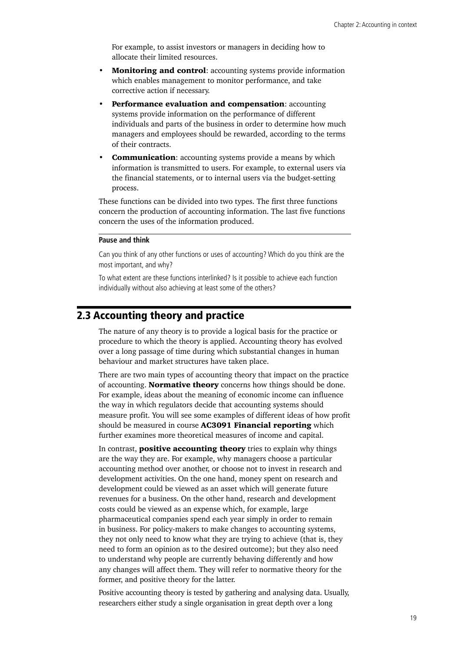<span id="page-24-0"></span>For example, to assist investors or managers in deciding how to allocate their limited resources.

- **Monitoring and control:** accounting systems provide information which enables management to monitor performance, and take corrective action if necessary.
- **Performance evaluation and compensation: accounting** systems provide information on the performance of different individuals and parts of the business in order to determine how much managers and employees should be rewarded, according to the terms of their contracts.
- **Communication:** accounting systems provide a means by which information is transmitted to users. For example, to external users via the financial statements, or to internal users via the budget-setting process.

These functions can be divided into two types. The first three functions concern the production of accounting information. The last five functions concern the uses of the information produced.

#### **Pause and think**

Can you think of any other functions or uses of accounting? Which do you think are the most important, and why?

To what extent are these functions interlinked? Is it possible to achieve each function individually without also achieving at least some of the others?

# 2.3 Accounting theory and practice

The nature of any theory is to provide a logical basis for the practice or procedure to which the theory is applied. Accounting theory has evolved over a long passage of time during which substantial changes in human behaviour and market structures have taken place.

There are two main types of accounting theory that impact on the practice of accounting. **Normative theory** concerns how things should be done. For example, ideas about the meaning of economic income can influence the way in which regulators decide that accounting systems should measure profit. You will see some examples of different ideas of how profit should be measured in course **AC3091 Financial reporting** which further examines more theoretical measures of income and capital.

In contrast, **positive accounting theory** tries to explain why things are the way they are. For example, why managers choose a particular accounting method over another, or choose not to invest in research and development activities. On the one hand, money spent on research and development could be viewed as an asset which will generate future revenues for a business. On the other hand, research and development costs could be viewed as an expense which, for example, large pharmaceutical companies spend each year simply in order to remain in business. For policy-makers to make changes to accounting systems, they not only need to know what they are trying to achieve (that is, they need to form an opinion as to the desired outcome); but they also need to understand why people are currently behaving differently and how any changes will affect them. They will refer to normative theory for the former, and positive theory for the latter.

Positive accounting theory is tested by gathering and analysing data. Usually, researchers either study a single organisation in great depth over a long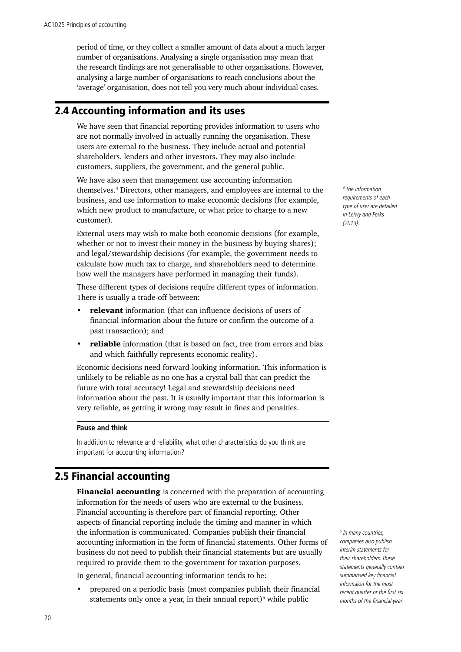<span id="page-25-0"></span>period of time, or they collect a smaller amount of data about a much larger number of organisations. Analysing a single organisation may mean that the research findings are not generalisable to other organisations. However, analysing a large number of organisations to reach conclusions about the 'average' organisation, does not tell you very much about individual cases.

# 2.4 Accounting information and its uses

We have seen that financial reporting provides information to users who are not normally involved in actually running the organisation. These users are external to the business. They include actual and potential shareholders, lenders and other investors. They may also include customers, suppliers, the government, and the general public.

We have also seen that management use accounting information themselves.4 Directors, other managers, and employees are internal to the business, and use information to make economic decisions (for example, which new product to manufacture, or what price to charge to a new customer).

External users may wish to make both economic decisions (for example, whether or not to invest their money in the business by buying shares): and legal/stewardship decisions (for example, the government needs to calculate how much tax to charge, and shareholders need to determine how well the managers have performed in managing their funds).

These different types of decisions require different types of information. There is usually a trade-off between:

- **relevant** information (that can influence decisions of users of financial information about the future or confirm the outcome of a past transaction); and
- **reliable** information (that is based on fact, free from errors and bias and which faithfully represents economic reality).

Economic decisions need forward-looking information. This information is unlikely to be reliable as no one has a crystal ball that can predict the future with total accuracy! Legal and stewardship decisions need information about the past. It is usually important that this information is very reliable, as getting it wrong may result in fines and penalties.

#### **Pause and think**

In addition to relevance and reliability, what other characteristics do you think are important for accounting information?

# 2.5 Financial accounting

Financial accounting is concerned with the preparation of accounting information for the needs of users who are external to the business. Financial accounting is therefore part of financial reporting. Other aspects of financial reporting include the timing and manner in which the information is communicated. Companies publish their financial accounting information in the form of financial statements. Other forms of business do not need to publish their financial statements but are usually required to provide them to the government for taxation purposes.

In general, financial accounting information tends to be:

• prepared on a periodic basis (most companies publish their financial statements only once a year, in their annual report)<sup>5</sup> while public

*4 The information requirements of each type of user are detailed in Leiwy and Perks (2013).*

*5 In many countries, companies also publish interim statements for their shareholders. These statements generally contain summarised key financial informaion for the most recent quarter or the first six months of the financial year.*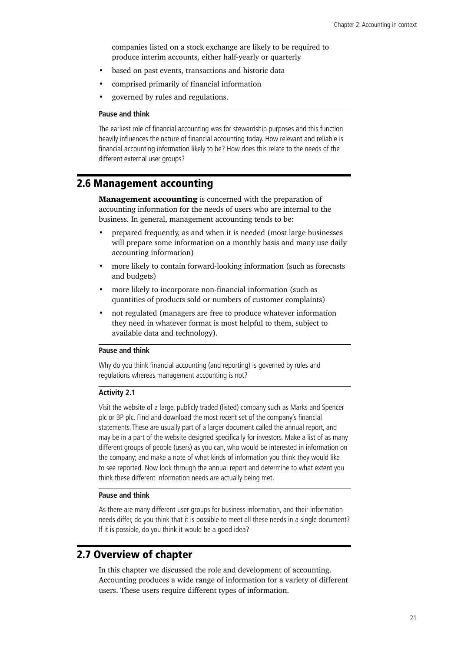<span id="page-26-0"></span>companies listed on a stock exchange are likely to be required to produce interim accounts, either half-yearly or quarterly

- based on past events, transactions and historic data
- comprised primarily of financial information
- governed by rules and regulations.

#### **Pause and think**

The earliest role of financial accounting was for stewardship purposes and this function heavily influences the nature of financial accounting today. How relevant and reliable is financial accounting information likely to be? How does this relate to the needs of the different external user groups?

# 2.6 Management accounting

Management accounting is concerned with the preparation of accounting information for the needs of users who are internal to the business. In general, management accounting tends to be:

- prepared frequently, as and when it is needed (most large businesses will prepare some information on a monthly basis and many use daily accounting information)
- more likely to contain forward-looking information (such as forecasts and budgets)
- more likely to incorporate non-financial information (such as quantities of products sold or numbers of customer complaints)
- not regulated (managers are free to produce whatever information they need in whatever format is most helpful to them, subject to available data and technology).

#### **Pause and think**

Why do you think financial accounting (and reporting) is governed by rules and regulations whereas management accounting is not?

## **Activity 2.1**

Visit the website of a large, publicly traded (listed) company such as Marks and Spencer plc or BP plc. Find and download the most recent set of the company's financial statements. These are usually part of a larger document called the annual report, and may be in a part of the website designed specifically for investors. Make a list of as many different groups of people (users) as you can, who would be interested in information on the company; and make a note of what kinds of information you think they would like to see reported. Now look through the annual report and determine to what extent you think these different information needs are actually being met.

#### **Pause and think**

As there are many different user groups for business information, and their information needs differ, do you think that it is possible to meet all these needs in a single document? If it is possible, do you think it would be a good idea?

# 2.7 Overview of chapter

In this chapter we discussed the role and development of accounting. Accounting produces a wide range of information for a variety of different users. These users require different types of information.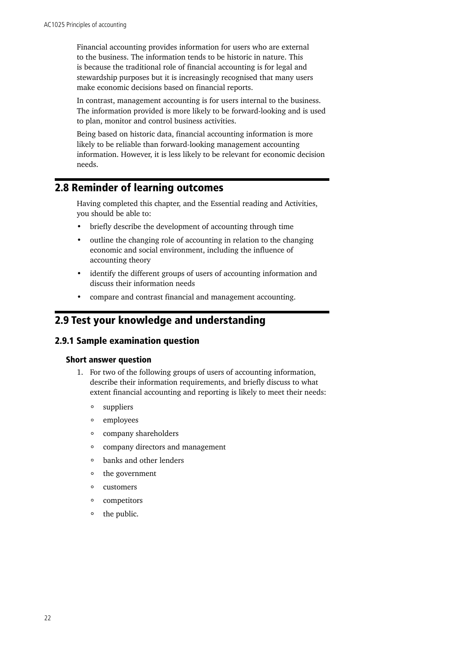<span id="page-27-0"></span>Financial accounting provides information for users who are external to the business. The information tends to be historic in nature. This is because the traditional role of financial accounting is for legal and stewardship purposes but it is increasingly recognised that many users make economic decisions based on financial reports.

In contrast, management accounting is for users internal to the business. The information provided is more likely to be forward-looking and is used to plan, monitor and control business activities.

Being based on historic data, financial accounting information is more likely to be reliable than forward-looking management accounting information. However, it is less likely to be relevant for economic decision needs.

# 2.8 Reminder of learning outcomes

Having completed this chapter, and the Essential reading and Activities, you should be able to:

- briefly describe the development of accounting through time
- outline the changing role of accounting in relation to the changing economic and social environment, including the influence of accounting theory
- identify the different groups of users of accounting information and discuss their information needs
- compare and contrast financial and management accounting.

# 2.9 Test your knowledge and understanding

# 2.9.1 Sample examination question

#### Short answer question

- 1. For two of the following groups of users of accounting information, describe their information requirements, and briefly discuss to what extent financial accounting and reporting is likely to meet their needs:
	- $\circ$ suppliers
	- employees  $\circ$
	- company shareholders  $\circ$
	- company directors and management  $\circ$
	- $\circ$ banks and other lenders
	- $\circ$ the government
	- customers  $\circ$
	- $\circ$ competitors
	- the public. $\circ$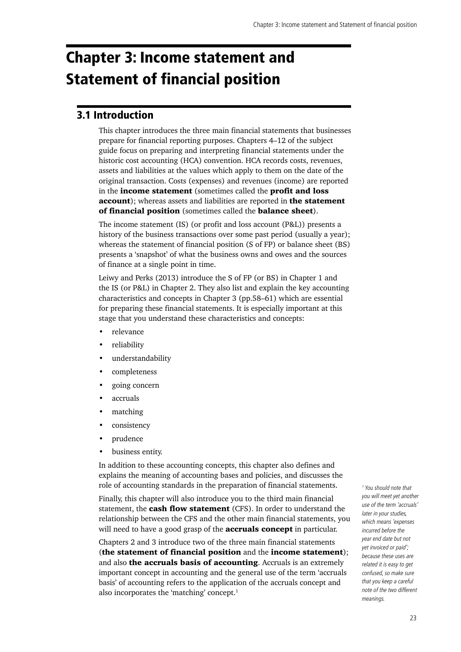# <span id="page-28-0"></span>Chapter 3: Income statement and Statement of financial position

# 3.1 Introduction

This chapter introduces the three main financial statements that businesses prepare for financial reporting purposes. Chapters 4–12 of the subject guide focus on preparing and interpreting financial statements under the historic cost accounting (HCA) convention. HCA records costs, revenues, assets and liabilities at the values which apply to them on the date of the original transaction. Costs (expenses) and revenues (income) are reported in the income statement (sometimes called the profit and loss account); whereas assets and liabilities are reported in the statement of financial position (sometimes called the balance sheet).

The income statement (IS) (or profit and loss account (P&L)) presents a history of the business transactions over some past period (usually a year); whereas the statement of financial position (S of FP) or balance sheet (BS) presents a 'snapshot' of what the business owns and owes and the sources of finance at a single point in time.

Leiwy and Perks (2013) introduce the S of FP (or BS) in Chapter 1 and the IS (or P&L) in Chapter 2. They also list and explain the key accounting characteristics and concepts in Chapter 3 (pp.58–61) which are essential for preparing these financial statements. It is especially important at this stage that you understand these characteristics and concepts:

- relevance
- reliability
- understandability
- completeness
- going concern
- accruals
- matching
- consistency
- prudence
- business entity.

In addition to these accounting concepts, this chapter also defines and explains the meaning of accounting bases and policies, and discusses the role of accounting standards in the preparation of financial statements.

Finally, this chapter will also introduce you to the third main financial statement, the **cash flow statement** (CFS). In order to understand the relationship between the CFS and the other main financial statements, you will need to have a good grasp of the **accruals concept** in particular.

Chapters 2 and 3 introduce two of the three main financial statements (the statement of financial position and the income statement); and also the accruals basis of accounting. Accruals is an extremely important concept in accounting and the general use of the term 'accruals basis' of accounting refers to the application of the accruals concept and also incorporates the 'matching' concept.<sup>1</sup>

*1 You should note that you will meet yet another use of the term 'accruals' later in your studies, which means 'expenses incurred before the year end date but not yet invoiced or paid'; because these uses are related it is easy to get confused, so make sure that you keep a careful note of the two different meanings.*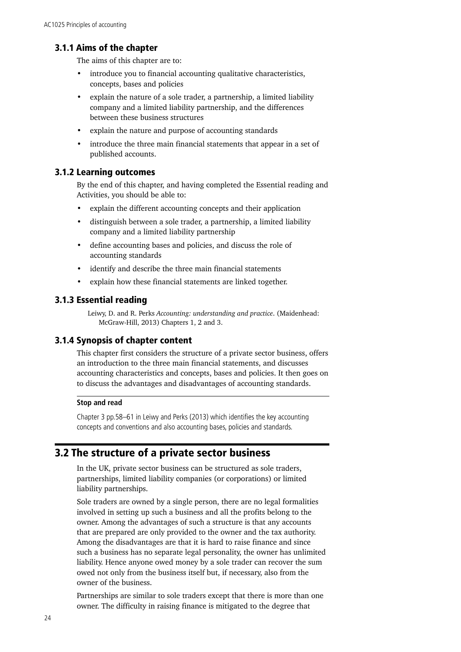# <span id="page-29-0"></span>3.1.1 Aims of the chapter

The aims of this chapter are to:

- introduce you to financial accounting qualitative characteristics, concepts, bases and policies
- explain the nature of a sole trader, a partnership, a limited liability company and a limited liability partnership, and the differences between these business structures
- explain the nature and purpose of accounting standards
- introduce the three main financial statements that appear in a set of published accounts.

# 3.1.2 Learning outcomes

By the end of this chapter, and having completed the Essential reading and Activities, you should be able to:

- explain the different accounting concepts and their application
- distinguish between a sole trader, a partnership, a limited liability company and a limited liability partnership
- define accounting bases and policies, and discuss the role of accounting standards
- identify and describe the three main financial statements
- explain how these financial statements are linked together.

## 3.1.3 Essential reading

Leiwy, D. and R. Perks *Accounting: understanding and practice*. (Maidenhead: McGraw-Hill, 2013) Chapters 1, 2 and 3.

# 3.1.4 Synopsis of chapter content

This chapter first considers the structure of a private sector business, offers an introduction to the three main financial statements, and discusses accounting characteristics and concepts, bases and policies. It then goes on to discuss the advantages and disadvantages of accounting standards.

#### **Stop and read**

Chapter 3 pp.58–61 in Leiwy and Perks (2013) which identifies the key accounting concepts and conventions and also accounting bases, policies and standards.

# 3.2 The structure of a private sector business

In the UK, private sector business can be structured as sole traders, partnerships, limited liability companies (or corporations) or limited liability partnerships.

Sole traders are owned by a single person, there are no legal formalities involved in setting up such a business and all the profits belong to the owner. Among the advantages of such a structure is that any accounts that are prepared are only provided to the owner and the tax authority. Among the disadvantages are that it is hard to raise finance and since such a business has no separate legal personality, the owner has unlimited liability. Hence anyone owed money by a sole trader can recover the sum owed not only from the business itself but, if necessary, also from the owner of the business.

Partnerships are similar to sole traders except that there is more than one owner. The difficulty in raising finance is mitigated to the degree that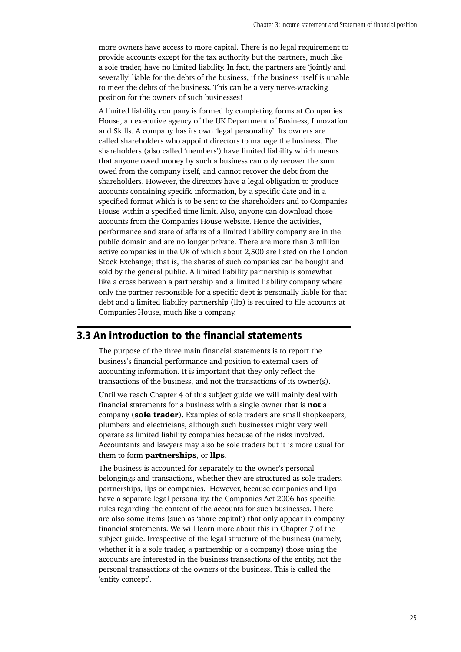<span id="page-30-0"></span>more owners have access to more capital. There is no legal requirement to provide accounts except for the tax authority but the partners, much like a sole trader, have no limited liability. In fact, the partners are 'jointly and severally' liable for the debts of the business, if the business itself is unable to meet the debts of the business. This can be a very nerve-wracking position for the owners of such businesses!

A limited liability company is formed by completing forms at Companies House, an executive agency of the UK Department of Business, Innovation and Skills. A company has its own 'legal personality'. Its owners are called shareholders who appoint directors to manage the business. The shareholders (also called 'members') have limited liability which means that anyone owed money by such a business can only recover the sum owed from the company itself, and cannot recover the debt from the shareholders. However, the directors have a legal obligation to produce accounts containing specific information, by a specific date and in a specified format which is to be sent to the shareholders and to Companies House within a specified time limit. Also, anyone can download those accounts from the Companies House website. Hence the activities, performance and state of affairs of a limited liability company are in the public domain and are no longer private. There are more than 3 million active companies in the UK of which about 2,500 are listed on the London Stock Exchange; that is, the shares of such companies can be bought and sold by the general public. A limited liability partnership is somewhat like a cross between a partnership and a limited liability company where only the partner responsible for a specific debt is personally liable for that debt and a limited liability partnership (llp) is required to file accounts at Companies House, much like a company.

# 3.3 An introduction to the financial statements

The purpose of the three main financial statements is to report the business's financial performance and position to external users of accounting information. It is important that they only reflect the transactions of the business, and not the transactions of its owner(s).

Until we reach Chapter 4 of this subject guide we will mainly deal with financial statements for a business with a single owner that is **not** a company (sole trader). Examples of sole traders are small shopkeepers, plumbers and electricians, although such businesses might very well operate as limited liability companies because of the risks involved. Accountants and lawyers may also be sole traders but it is more usual for them to form **partnerships**, or **llps**.

The business is accounted for separately to the owner's personal belongings and transactions, whether they are structured as sole traders, partnerships, llps or companies. However, because companies and llps have a separate legal personality, the Companies Act 2006 has specific rules regarding the content of the accounts for such businesses. There are also some items (such as 'share capital') that only appear in company financial statements. We will learn more about this in Chapter 7 of the subject guide. Irrespective of the legal structure of the business (namely, whether it is a sole trader, a partnership or a company) those using the accounts are interested in the business transactions of the entity, not the personal transactions of the owners of the business. This is called the 'entity concept'.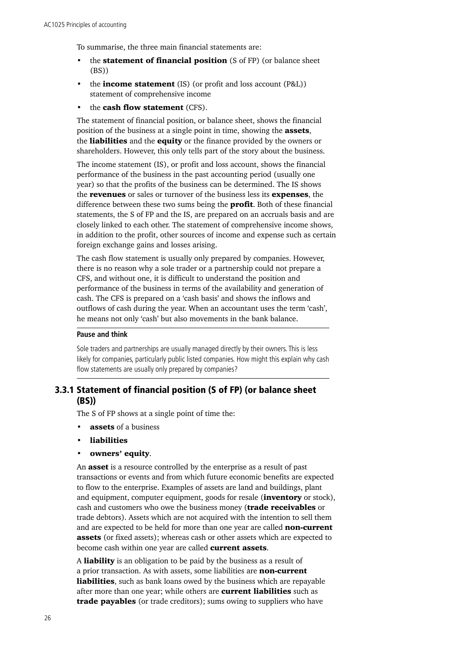To summarise, the three main financial statements are:

- the **statement of financial position** (S of FP) (or balance sheet (BS))
- the **income statement** (IS) (or profit and loss account  $(P&L)$ ) statement of comprehensive income
- the **cash flow statement** (CFS).

The statement of financial position, or balance sheet, shows the financial position of the business at a single point in time, showing the assets, the **liabilities** and the **equity** or the finance provided by the owners or shareholders. However, this only tells part of the story about the business.

The income statement (IS), or profit and loss account, shows the financial performance of the business in the past accounting period (usually one year) so that the profits of the business can be determined. The IS shows the **revenues** or sales or turnover of the business less its **expenses**, the difference between these two sums being the **profit**. Both of these financial statements, the S of FP and the IS, are prepared on an accruals basis and are closely linked to each other. The statement of comprehensive income shows, in addition to the profit, other sources of income and expense such as certain foreign exchange gains and losses arising.

The cash flow statement is usually only prepared by companies. However, there is no reason why a sole trader or a partnership could not prepare a CFS, and without one, it is difficult to understand the position and performance of the business in terms of the availability and generation of cash. The CFS is prepared on a 'cash basis' and shows the inflows and outflows of cash during the year. When an accountant uses the term 'cash', he means not only 'cash' but also movements in the bank balance.

#### **Pause and think**

Sole traders and partnerships are usually managed directly by their owners. This is less likely for companies, particularly public listed companies. How might this explain why cash flow statements are usually only prepared by companies?

# 3.3.1 Statement of financial position (S of FP) (or balance sheet (BS))

The S of FP shows at a single point of time the:

- assets of a business
- **liabilities**
- owners' equity.

An **asset** is a resource controlled by the enterprise as a result of past transactions or events and from which future economic benefits are expected to flow to the enterprise. Examples of assets are land and buildings, plant and equipment, computer equipment, goods for resale (**inventory** or stock), cash and customers who owe the business money (trade receivables or trade debtors). Assets which are not acquired with the intention to sell them and are expected to be held for more than one year are called non-current assets (or fixed assets); whereas cash or other assets which are expected to become cash within one year are called current assets.

A liability is an obligation to be paid by the business as a result of a prior transaction. As with assets, some liabilities are non-current liabilities, such as bank loans owed by the business which are repayable after more than one year; while others are **current liabilities** such as trade payables (or trade creditors); sums owing to suppliers who have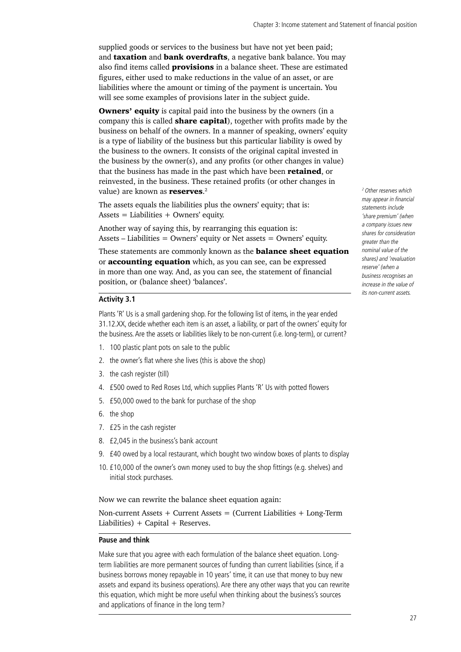supplied goods or services to the business but have not yet been paid; and **taxation** and **bank overdrafts**, a negative bank balance. You may also find items called **provisions** in a balance sheet. These are estimated figures, either used to make reductions in the value of an asset, or are liabilities where the amount or timing of the payment is uncertain. You will see some examples of provisions later in the subject guide.

**Owners' equity** is capital paid into the business by the owners (in a company this is called **share capital**), together with profits made by the business on behalf of the owners. In a manner of speaking, owners' equity is a type of liability of the business but this particular liability is owed by the business to the owners. It consists of the original capital invested in the business by the owner(s), and any profits (or other changes in value) that the business has made in the past which have been **retained**, or reinvested, in the business. These retained profits (or other changes in value) are known as **reserves**.<sup>2</sup>

The assets equals the liabilities plus the owners' equity; that is: Assets  $=$  Liabilities  $+$  Owners' equity.

Another way of saying this, by rearranging this equation is: Assets – Liabilities = Owners' equity or Net assets = Owners' equity.

These statements are commonly known as the **balance sheet equation** or accounting equation which, as you can see, can be expressed in more than one way. And, as you can see, the statement of financial position, or (balance sheet) 'balances'.

#### **Activity 3.1**

Plants 'R' Us is a small gardening shop. For the following list of items, in the year ended 31.12.XX, decide whether each item is an asset, a liability, or part of the owners' equity for the business. Are the assets or liabilities likely to be non-current (i.e. long-term), or current?

- 1. 100 plastic plant pots on sale to the public
- 2. the owner's flat where she lives (this is above the shop)
- 3. the cash register (till)
- 4. £500 owed to Red Roses Ltd, which supplies Plants 'R' Us with potted flowers
- 5. £50,000 owed to the bank for purchase of the shop
- 6. the shop
- 7. £25 in the cash register
- 8. £2,045 in the business's bank account
- 9. £40 owed by a local restaurant, which bought two window boxes of plants to display
- 10. £10,000 of the owner's own money used to buy the shop fittings (e.g. shelves) and initial stock purchases.

Now we can rewrite the balance sheet equation again:

Non-current Assets  $+$  Current Assets  $=$  (Current Liabilities  $+$  Long-Term Liabilities) + Capital + Reserves.

#### **Pause and think**

Make sure that you agree with each formulation of the balance sheet equation. Longterm liabilities are more permanent sources of funding than current liabilities (since, if a business borrows money repayable in 10 years' time, it can use that money to buy new assets and expand its business operations). Are there any other ways that you can rewrite this equation, which might be more useful when thinking about the business's sources and applications of finance in the long term?

*2 Other reserves which may appear in financial statements include 'share premium' (when a company issues new shares for consideration greater than the nominal value of the shares) and 'revaluation reserve' (when a business recognises an increase in the value of its non-current assets.*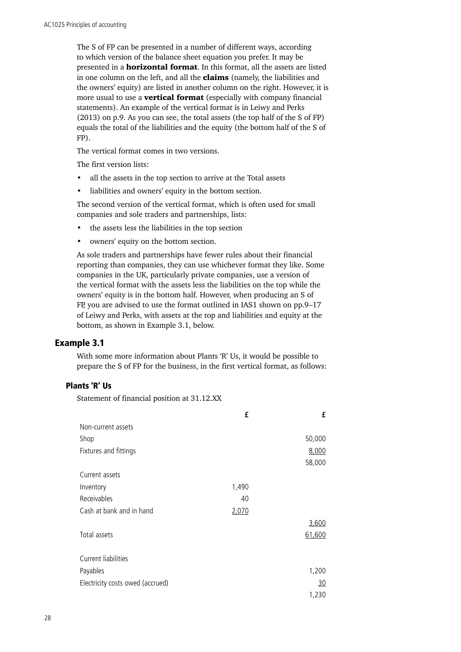The S of FP can be presented in a number of different ways, according to which version of the balance sheet equation you prefer. It may be presented in a **horizontal format**. In this format, all the assets are listed in one column on the left, and all the **claims** (namely, the liabilities and the owners' equity) are listed in another column on the right. However, it is more usual to use a **vertical format** (especially with company financial statements). An example of the vertical format is in Leiwy and Perks (2013) on p.9. As you can see, the total assets (the top half of the S of FP) equals the total of the liabilities and the equity (the bottom half of the S of FP).

The vertical format comes in two versions.

The first version lists:

- all the assets in the top section to arrive at the Total assets
- liabilities and owners' equity in the bottom section.

The second version of the vertical format, which is often used for small companies and sole traders and partnerships, lists:

- the assets less the liabilities in the top section
- owners' equity on the bottom section.

As sole traders and partnerships have fewer rules about their financial reporting than companies, they can use whichever format they like. Some companies in the UK, particularly private companies, use a version of the vertical format with the assets less the liabilities on the top while the owners' equity is in the bottom half. However, when producing an S of FP, you are advised to use the format outlined in IAS1 shown on pp.9–17 of Leiwy and Perks, with assets at the top and liabilities and equity at the bottom, as shown in Example 3.1, below.

#### Example 3.1

With some more information about Plants 'R' Us, it would be possible to prepare the S of FP for the business, in the first vertical format, as follows:

# Plants 'R' Us

Statement of financial position at 31.12.XX

|                                  | £     | £         |
|----------------------------------|-------|-----------|
| Non-current assets               |       |           |
| Shop                             |       | 50,000    |
| Fixtures and fittings            |       | 8,000     |
|                                  |       | 58,000    |
| Current assets                   |       |           |
| Inventory                        | 1,490 |           |
| Receivables                      | 40    |           |
| Cash at bank and in hand         | 2,070 |           |
|                                  |       | 3,600     |
| Total assets                     |       | 61,600    |
|                                  |       |           |
| Current liabilities              |       |           |
| Payables                         |       | 1,200     |
| Electricity costs owed (accrued) |       | <u>30</u> |
|                                  |       | 1,230     |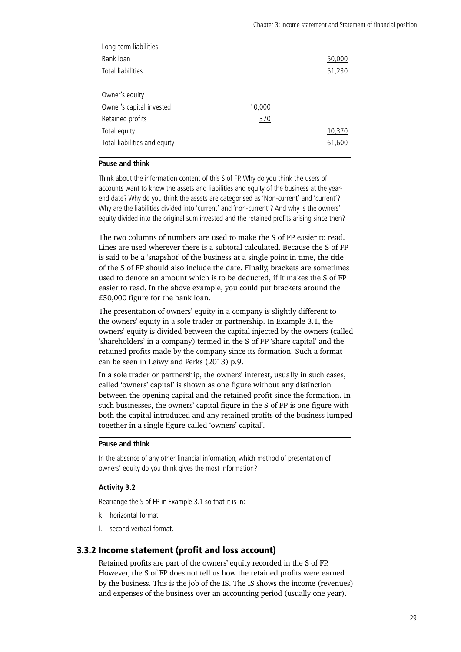| Long-term liabilities        |        |        |
|------------------------------|--------|--------|
| Bank loan                    |        | 50,000 |
| Total liabilities            |        | 51,230 |
|                              |        |        |
| Owner's equity               |        |        |
| Owner's capital invested     | 10,000 |        |
| Retained profits             | 370    |        |
| Total equity                 |        | 10,370 |
| Total liabilities and equity |        | 61,600 |
|                              |        |        |

#### **Pause and think**

Think about the information content of this S of FP. Why do you think the users of accounts want to know the assets and liabilities and equity of the business at the yearend date? Why do you think the assets are categorised as 'Non-current' and 'current'? Why are the liabilities divided into 'current' and 'non-current'? And why is the owners' equity divided into the original sum invested and the retained profits arising since then?

The two columns of numbers are used to make the S of FP easier to read. Lines are used wherever there is a subtotal calculated. Because the S of FP is said to be a 'snapshot' of the business at a single point in time, the title of the S of FP should also include the date. Finally, brackets are sometimes used to denote an amount which is to be deducted, if it makes the S of FP easier to read. In the above example, you could put brackets around the £50,000 figure for the bank loan.

The presentation of owners' equity in a company is slightly different to the owners' equity in a sole trader or partnership. In Example 3.1, the owners' equity is divided between the capital injected by the owners (called 'shareholders' in a company) termed in the S of FP 'share capital' and the retained profits made by the company since its formation. Such a format can be seen in Leiwy and Perks (2013) p.9.

In a sole trader or partnership, the owners' interest, usually in such cases, called 'owners' capital' is shown as one figure without any distinction between the opening capital and the retained profit since the formation. In such businesses, the owners' capital figure in the S of FP is one figure with both the capital introduced and any retained profits of the business lumped together in a single figure called 'owners' capital'.

#### **Pause and think**

In the absence of any other financial information, which method of presentation of owners' equity do you think gives the most information?

## **Activity 3.2**

Rearrange the S of FP in Example 3.1 so that it is in:

- k. horizontal format
- l. second vertical format.

## 3.3.2 Income statement (profit and loss account)

Retained profits are part of the owners' equity recorded in the S of FP. However, the S of FP does not tell us how the retained profits were earned by the business. This is the job of the IS. The IS shows the income (revenues) and expenses of the business over an accounting period (usually one year).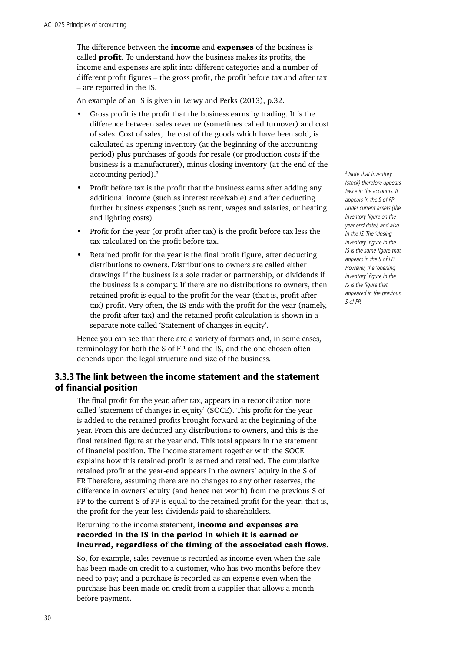The difference between the *income* and **expenses** of the business is called **profit**. To understand how the business makes its profits, the income and expenses are split into different categories and a number of different profit figures – the gross profit, the profit before tax and after tax – are reported in the IS.

An example of an IS is given in Leiwy and Perks (2013), p.32.

- Gross profit is the profit that the business earns by trading. It is the difference between sales revenue (sometimes called turnover) and cost of sales. Cost of sales, the cost of the goods which have been sold, is calculated as opening inventory (at the beginning of the accounting period) plus purchases of goods for resale (or production costs if the business is a manufacturer), minus closing inventory (at the end of the accounting period).3
- Profit before tax is the profit that the business earns after adding any additional income (such as interest receivable) and after deducting further business expenses (such as rent, wages and salaries, or heating and lighting costs).
- Profit for the year (or profit after tax) is the profit before tax less the tax calculated on the profit before tax.
- Retained profit for the year is the final profit figure, after deducting distributions to owners. Distributions to owners are called either drawings if the business is a sole trader or partnership, or dividends if the business is a company. If there are no distributions to owners, then retained profit is equal to the profit for the year (that is, profit after tax) profit. Very often, the IS ends with the profit for the year (namely, the profit after tax) and the retained profit calculation is shown in a separate note called 'Statement of changes in equity'.

Hence you can see that there are a variety of formats and, in some cases, terminology for both the S of FP and the IS, and the one chosen often depends upon the legal structure and size of the business.

# 3.3.3 The link between the income statement and the statement of financial position

The final profit for the year, after tax, appears in a reconciliation note called 'statement of changes in equity' (SOCE). This profit for the year is added to the retained profits brought forward at the beginning of the year. From this are deducted any distributions to owners, and this is the final retained figure at the year end. This total appears in the statement of financial position. The income statement together with the SOCE explains how this retained profit is earned and retained. The cumulative retained profit at the year-end appears in the owners' equity in the S of FP. Therefore, assuming there are no changes to any other reserves, the difference in owners' equity (and hence net worth) from the previous S of FP to the current S of FP is equal to the retained profit for the year; that is, the profit for the year less dividends paid to shareholders.

## Returning to the income statement, **income and expenses are** recorded in the IS in the period in which it is earned or incurred, regardless of the timing of the associated cash flows.

So, for example, sales revenue is recorded as income even when the sale has been made on credit to a customer, who has two months before they need to pay; and a purchase is recorded as an expense even when the purchase has been made on credit from a supplier that allows a month before payment.

*3 Note that inventory (stock) therefore appears twice in the accounts. It appears in the S of FP under current assets (the inventory figure on the year end date), and also in the IS. The 'closing inventory' figure in the IS is the same figure that appears in the S of FP. However, the 'opening inventory' figure in the IS is the figure that appeared in the previous S of FP.*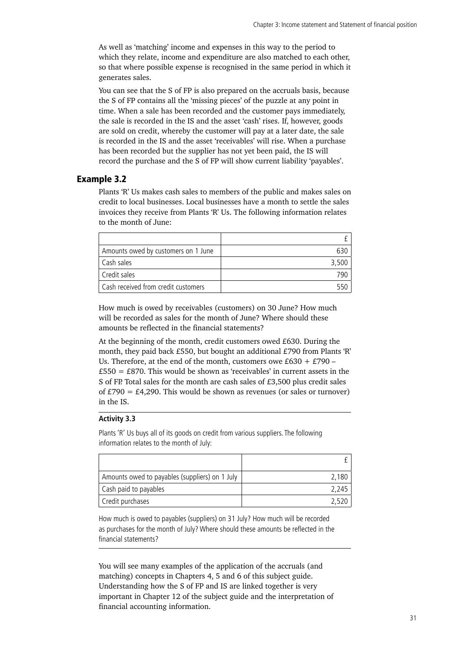As well as 'matching' income and expenses in this way to the period to which they relate, income and expenditure are also matched to each other, so that where possible expense is recognised in the same period in which it generates sales.

You can see that the S of FP is also prepared on the accruals basis, because the S of FP contains all the 'missing pieces' of the puzzle at any point in time. When a sale has been recorded and the customer pays immediately, the sale is recorded in the IS and the asset 'cash' rises. If, however, goods are sold on credit, whereby the customer will pay at a later date, the sale is recorded in the IS and the asset 'receivables' will rise. When a purchase has been recorded but the supplier has not yet been paid, the IS will record the purchase and the S of FP will show current liability 'payables'.

## Example 3.2

Plants 'R' Us makes cash sales to members of the public and makes sales on credit to local businesses. Local businesses have a month to settle the sales invoices they receive from Plants 'R' Us. The following information relates to the month of June:

| Amounts owed by customers on 1 June |       |
|-------------------------------------|-------|
| Cash sales                          | 3.500 |
| Credit sales                        |       |
| Cash received from credit customers |       |

How much is owed by receivables (customers) on 30 June? How much will be recorded as sales for the month of June? Where should these amounts be reflected in the financial statements?

At the beginning of the month, credit customers owed £630. During the month, they paid back £550, but bought an additional £790 from Plants 'R' Us. Therefore, at the end of the month, customers owe  $£630 + £790 £550 = £870$ . This would be shown as 'receivables' in current assets in the S of FP. Total sales for the month are cash sales of £3,500 plus credit sales of  $£790 = £4,290$ . This would be shown as revenues (or sales or turnover) in the IS.

#### **Activity 3.3**

Plants 'R' Us buys all of its goods on credit from various suppliers. The following information relates to the month of July:

| Amounts owed to payables (suppliers) on 1 July | 2.180 |
|------------------------------------------------|-------|
| Cash paid to payables                          | 2.245 |
| Credit purchases                               | 2.520 |

How much is owed to payables (suppliers) on 31 July? How much will be recorded as purchases for the month of July? Where should these amounts be reflected in the financial statements?

You will see many examples of the application of the accruals (and matching) concepts in Chapters 4, 5 and 6 of this subject guide. Understanding how the S of FP and IS are linked together is very important in Chapter 12 of the subject guide and the interpretation of financial accounting information.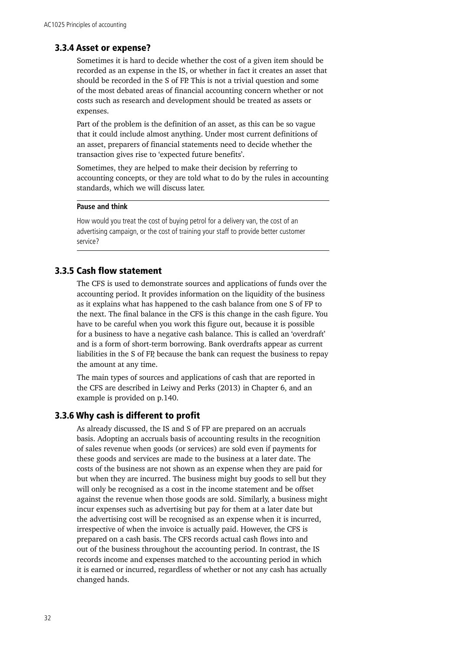## 3.3.4 Asset or expense?

Sometimes it is hard to decide whether the cost of a given item should be recorded as an expense in the IS, or whether in fact it creates an asset that should be recorded in the S of FP. This is not a trivial question and some of the most debated areas of financial accounting concern whether or not costs such as research and development should be treated as assets or expenses.

Part of the problem is the definition of an asset, as this can be so vague that it could include almost anything. Under most current definitions of an asset, preparers of financial statements need to decide whether the transaction gives rise to 'expected future benefits'.

Sometimes, they are helped to make their decision by referring to accounting concepts, or they are told what to do by the rules in accounting standards, which we will discuss later.

#### **Pause and think**

How would you treat the cost of buying petrol for a delivery van, the cost of an advertising campaign, or the cost of training your staff to provide better customer service?

# 3.3.5 Cash flow statement

The CFS is used to demonstrate sources and applications of funds over the accounting period. It provides information on the liquidity of the business as it explains what has happened to the cash balance from one S of FP to the next. The final balance in the CFS is this change in the cash figure. You have to be careful when you work this figure out, because it is possible for a business to have a negative cash balance. This is called an 'overdraft' and is a form of short-term borrowing. Bank overdrafts appear as current liabilities in the S of FP, because the bank can request the business to repay the amount at any time.

The main types of sources and applications of cash that are reported in the CFS are described in Leiwy and Perks (2013) in Chapter 6, and an example is provided on p.140.

## 3.3.6 Why cash is different to profit

As already discussed, the IS and S of FP are prepared on an accruals basis. Adopting an accruals basis of accounting results in the recognition of sales revenue when goods (or services) are sold even if payments for these goods and services are made to the business at a later date. The costs of the business are not shown as an expense when they are paid for but when they are incurred. The business might buy goods to sell but they will only be recognised as a cost in the income statement and be offset against the revenue when those goods are sold. Similarly, a business might incur expenses such as advertising but pay for them at a later date but the advertising cost will be recognised as an expense when it is incurred, irrespective of when the invoice is actually paid. However, the CFS is prepared on a cash basis. The CFS records actual cash flows into and out of the business throughout the accounting period. In contrast, the IS records income and expenses matched to the accounting period in which it is earned or incurred, regardless of whether or not any cash has actually changed hands.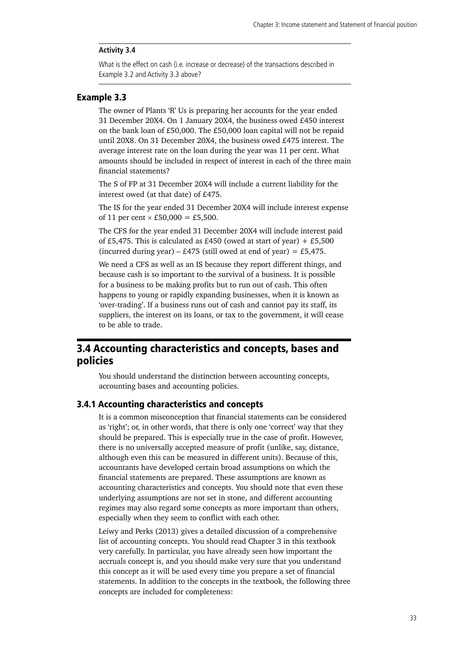#### <span id="page-38-0"></span>**Activity 3.4**

What is the effect on cash (i.e. increase or decrease) of the transactions described in Example 3.2 and Activity 3.3 above?

# Example 3.3

The owner of Plants 'R' Us is preparing her accounts for the year ended 31 December 20X4. On 1 January 20X4, the business owed £450 interest on the bank loan of £50,000. The £50,000 loan capital will not be repaid until 20X8. On 31 December 20X4, the business owed £475 interest. The average interest rate on the loan during the year was 11 per cent. What amounts should be included in respect of interest in each of the three main financial statements?

The S of FP at 31 December 20X4 will include a current liability for the interest owed (at that date) of £475.

The IS for the year ended 31 December 20X4 will include interest expense of 11 per cent  $\times$  £50,000 = £5,500.

The CFS for the year ended 31 December 20X4 will include interest paid of £5,475. This is calculated as £450 (owed at start of year) + £5,500 (incurred during year) – £475 (still owed at end of year) = £5,475.

We need a CFS as well as an IS because they report different things, and because cash is so important to the survival of a business. It is possible for a business to be making profits but to run out of cash. This often happens to young or rapidly expanding businesses, when it is known as 'over-trading'. If a business runs out of cash and cannot pay its staff, its suppliers, the interest on its loans, or tax to the government, it will cease to be able to trade.

# 3.4 Accounting characteristics and concepts, bases and policies

You should understand the distinction between accounting concepts, accounting bases and accounting policies.

#### 3.4.1 Accounting characteristics and concepts

It is a common misconception that financial statements can be considered as 'right'; or, in other words, that there is only one 'correct' way that they should be prepared. This is especially true in the case of profit. However, there is no universally accepted measure of profit (unlike, say, distance, although even this can be measured in different units). Because of this, accountants have developed certain broad assumptions on which the financial statements are prepared. These assumptions are known as accounting characteristics and concepts. You should note that even these underlying assumptions are not set in stone, and different accounting regimes may also regard some concepts as more important than others, especially when they seem to conflict with each other.

Leiwy and Perks (2013) gives a detailed discussion of a comprehensive list of accounting concepts. You should read Chapter 3 in this textbook very carefully. In particular, you have already seen how important the accruals concept is, and you should make very sure that you understand this concept as it will be used every time you prepare a set of financial statements. In addition to the concepts in the textbook, the following three concepts are included for completeness: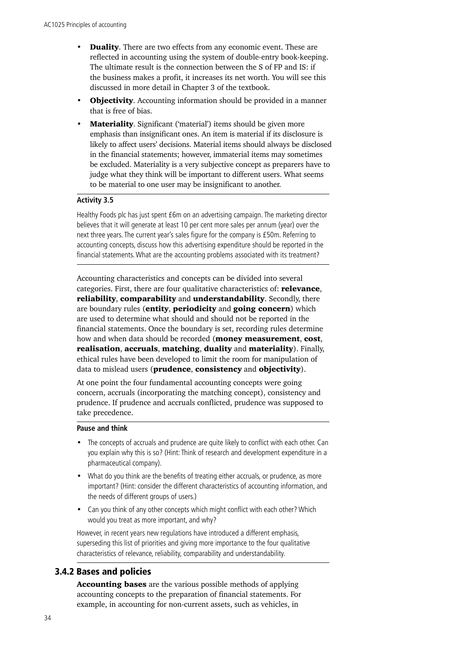- **Duality**. There are two effects from any economic event. These are reflected in accounting using the system of double-entry book-keeping. The ultimate result is the connection between the S of FP and IS: if the business makes a profit, it increases its net worth. You will see this discussed in more detail in Chapter 3 of the textbook.
- **Objectivity.** Accounting information should be provided in a manner that is free of bias.
- **Materiality.** Significant ('material') items should be given more emphasis than insignificant ones. An item is material if its disclosure is likely to affect users' decisions. Material items should always be disclosed in the financial statements; however, immaterial items may sometimes be excluded. Materiality is a very subjective concept as preparers have to judge what they think will be important to different users. What seems to be material to one user may be insignificant to another.

## **Activity 3.5**

Healthy Foods plc has just spent £6m on an advertising campaign. The marketing director believes that it will generate at least 10 per cent more sales per annum (year) over the next three years. The current year's sales figure for the company is £50m. Referring to accounting concepts, discuss how this advertising expenditure should be reported in the financial statements. What are the accounting problems associated with its treatment?

Accounting characteristics and concepts can be divided into several categories. First, there are four qualitative characteristics of: relevance, reliability, comparability and understandability. Secondly, there are boundary rules (entity, periodicity and going concern) which are used to determine what should and should not be reported in the financial statements. Once the boundary is set, recording rules determine how and when data should be recorded (**money measurement, cost,** realisation, accruals, matching, duality and materiality). Finally, ethical rules have been developed to limit the room for manipulation of data to mislead users (**prudence**, **consistency** and **objectivity**).

At one point the four fundamental accounting concepts were going concern, accruals (incorporating the matching concept), consistency and prudence. If prudence and accruals conflicted, prudence was supposed to take precedence.

#### **Pause and think**

- The concepts of accruals and prudence are quite likely to conflict with each other. Can you explain why this is so? (Hint: Think of research and development expenditure in a pharmaceutical company).
- What do you think are the benefits of treating either accruals, or prudence, as more important? (Hint: consider the different characteristics of accounting information, and the needs of different groups of users.)
- Can you think of any other concepts which might conflict with each other? Which would you treat as more important, and why?

However, in recent years new regulations have introduced a different emphasis, superseding this list of priorities and giving more importance to the four qualitative characteristics of relevance, reliability, comparability and understandability.

### 3.4.2 Bases and policies

Accounting bases are the various possible methods of applying accounting concepts to the preparation of financial statements. For example, in accounting for non-current assets, such as vehicles, in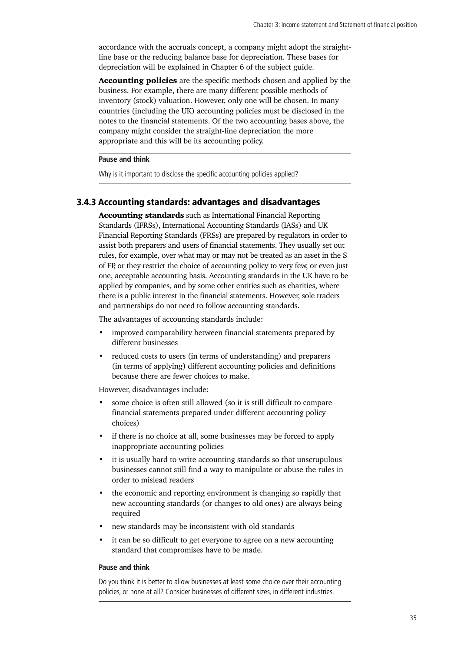accordance with the accruals concept, a company might adopt the straightline base or the reducing balance base for depreciation. These bases for depreciation will be explained in Chapter 6 of the subject guide.

Accounting policies are the specific methods chosen and applied by the business. For example, there are many different possible methods of inventory (stock) valuation. However, only one will be chosen. In many countries (including the UK) accounting policies must be disclosed in the notes to the financial statements. Of the two accounting bases above, the company might consider the straight-line depreciation the more appropriate and this will be its accounting policy.

#### **Pause and think**

Why is it important to disclose the specific accounting policies applied?

# 3.4.3 Accounting standards: advantages and disadvantages

Accounting standards such as International Financial Reporting Standards (IFRSs), International Accounting Standards (IASs) and UK Financial Reporting Standards (FRSs) are prepared by regulators in order to assist both preparers and users of financial statements. They usually set out rules, for example, over what may or may not be treated as an asset in the S of FP, or they restrict the choice of accounting policy to very few, or even just one, acceptable accounting basis. Accounting standards in the UK have to be applied by companies, and by some other entities such as charities, where there is a public interest in the financial statements. However, sole traders and partnerships do not need to follow accounting standards.

The advantages of accounting standards include:

- improved comparability between financial statements prepared by different businesses
- reduced costs to users (in terms of understanding) and preparers (in terms of applying) different accounting policies and definitions because there are fewer choices to make.

However, disadvantages include:

- some choice is often still allowed (so it is still difficult to compare financial statements prepared under different accounting policy choices)
- if there is no choice at all, some businesses may be forced to apply inappropriate accounting policies
- it is usually hard to write accounting standards so that unscrupulous businesses cannot still find a way to manipulate or abuse the rules in order to mislead readers
- the economic and reporting environment is changing so rapidly that new accounting standards (or changes to old ones) are always being required
- new standards may be inconsistent with old standards
- it can be so difficult to get everyone to agree on a new accounting standard that compromises have to be made.

#### **Pause and think**

Do you think it is better to allow businesses at least some choice over their accounting policies, or none at all? Consider businesses of different sizes, in different industries.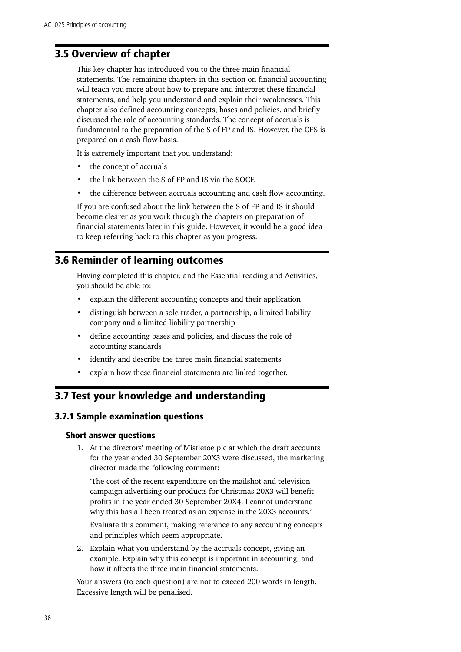# <span id="page-41-0"></span>3.5 Overview of chapter

This key chapter has introduced you to the three main financial statements. The remaining chapters in this section on financial accounting will teach you more about how to prepare and interpret these financial statements, and help you understand and explain their weaknesses. This chapter also defined accounting concepts, bases and policies, and briefly discussed the role of accounting standards. The concept of accruals is fundamental to the preparation of the S of FP and IS. However, the CFS is prepared on a cash flow basis.

It is extremely important that you understand:

- the concept of accruals
- the link between the S of FP and IS via the SOCE
- the difference between accruals accounting and cash flow accounting.

If you are confused about the link between the S of FP and IS it should become clearer as you work through the chapters on preparation of financial statements later in this guide. However, it would be a good idea to keep referring back to this chapter as you progress.

# 3.6 Reminder of learning outcomes

Having completed this chapter, and the Essential reading and Activities, you should be able to:

- explain the different accounting concepts and their application
- distinguish between a sole trader, a partnership, a limited liability company and a limited liability partnership
- define accounting bases and policies, and discuss the role of accounting standards
- identify and describe the three main financial statements
- explain how these financial statements are linked together.

# 3.7 Test your knowledge and understanding

## 3.7.1 Sample examination questions

#### Short answer questions

1. At the directors' meeting of Mistletoe plc at which the draft accounts for the year ended 30 September 20X3 were discussed, the marketing director made the following comment:

'The cost of the recent expenditure on the mailshot and television campaign advertising our products for Christmas 20X3 will benefit profits in the year ended 30 September 20X4. I cannot understand why this has all been treated as an expense in the 20X3 accounts.'

Evaluate this comment, making reference to any accounting concepts and principles which seem appropriate.

2. Explain what you understand by the accruals concept, giving an example. Explain why this concept is important in accounting, and how it affects the three main financial statements.

Your answers (to each question) are not to exceed 200 words in length. Excessive length will be penalised.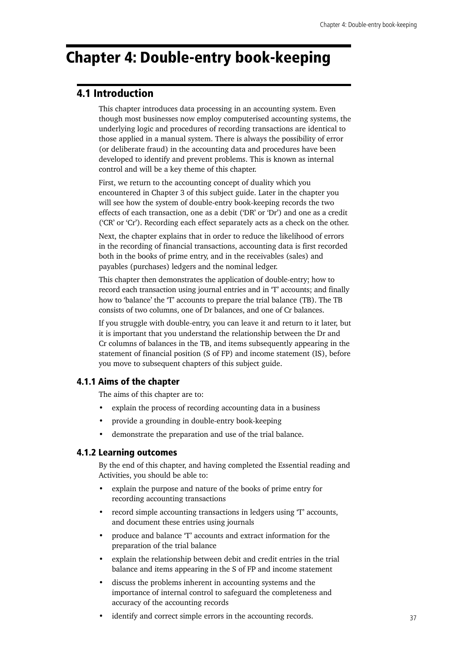# <span id="page-42-0"></span>Chapter 4: Double-entry book-keeping

# 4.1 Introduction

This chapter introduces data processing in an accounting system. Even though most businesses now employ computerised accounting systems, the underlying logic and procedures of recording transactions are identical to those applied in a manual system. There is always the possibility of error (or deliberate fraud) in the accounting data and procedures have been developed to identify and prevent problems. This is known as internal control and will be a key theme of this chapter.

First, we return to the accounting concept of duality which you encountered in Chapter 3 of this subject guide. Later in the chapter you will see how the system of double-entry book-keeping records the two effects of each transaction, one as a debit ('DR' or 'Dr') and one as a credit ('CR' or 'Cr'). Recording each effect separately acts as a check on the other.

Next, the chapter explains that in order to reduce the likelihood of errors in the recording of financial transactions, accounting data is first recorded both in the books of prime entry, and in the receivables (sales) and payables (purchases) ledgers and the nominal ledger.

This chapter then demonstrates the application of double-entry; how to record each transaction using journal entries and in 'T' accounts; and finally how to 'balance' the 'T' accounts to prepare the trial balance (TB). The TB consists of two columns, one of Dr balances, and one of Cr balances.

If you struggle with double-entry, you can leave it and return to it later, but it is important that you understand the relationship between the Dr and Cr columns of balances in the TB, and items subsequently appearing in the statement of financial position (S of FP) and income statement (IS), before you move to subsequent chapters of this subject guide.

## 4.1.1 Aims of the chapter

The aims of this chapter are to:

- explain the process of recording accounting data in a business
- provide a grounding in double-entry book-keeping
- demonstrate the preparation and use of the trial balance.

## 4.1.2 Learning outcomes

By the end of this chapter, and having completed the Essential reading and Activities, you should be able to:

- explain the purpose and nature of the books of prime entry for recording accounting transactions
- record simple accounting transactions in ledgers using 'T' accounts, and document these entries using journals
- produce and balance 'T' accounts and extract information for the preparation of the trial balance
- explain the relationship between debit and credit entries in the trial balance and items appearing in the S of FP and income statement
- discuss the problems inherent in accounting systems and the importance of internal control to safeguard the completeness and accuracy of the accounting records
- identify and correct simple errors in the accounting records.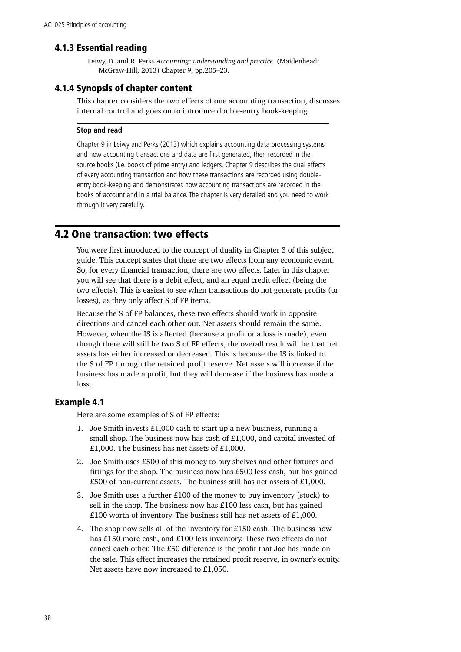# <span id="page-43-0"></span>4.1.3 Essential reading

Leiwy, D. and R. Perks *Accounting: understanding and practice*. (Maidenhead: McGraw-Hill, 2013) Chapter 9, pp.205–23.

### 4.1.4 Synopsis of chapter content

This chapter considers the two effects of one accounting transaction, discusses internal control and goes on to introduce double-entry book-keeping.

#### **Stop and read**

Chapter 9 in Leiwy and Perks (2013) which explains accounting data processing systems and how accounting transactions and data are first generated, then recorded in the source books (i.e. books of prime entry) and ledgers. Chapter 9 describes the dual effects of every accounting transaction and how these transactions are recorded using doubleentry book-keeping and demonstrates how accounting transactions are recorded in the books of account and in a trial balance. The chapter is very detailed and you need to work through it very carefully.

# 4.2 One transaction: two effects

You were first introduced to the concept of duality in Chapter 3 of this subject guide. This concept states that there are two effects from any economic event. So, for every financial transaction, there are two effects. Later in this chapter you will see that there is a debit effect, and an equal credit effect (being the two effects). This is easiest to see when transactions do not generate profits (or losses), as they only affect S of FP items.

Because the S of FP balances, these two effects should work in opposite directions and cancel each other out. Net assets should remain the same. However, when the IS is affected (because a profit or a loss is made), even though there will still be two S of FP effects, the overall result will be that net assets has either increased or decreased. This is because the IS is linked to the S of FP through the retained profit reserve. Net assets will increase if the business has made a profit, but they will decrease if the business has made a loss.

## Example 4.1

Here are some examples of S of FP effects:

- 1. Joe Smith invests £1,000 cash to start up a new business, running a small shop. The business now has cash of £1,000, and capital invested of £1,000. The business has net assets of £1,000.
- 2. Joe Smith uses £500 of this money to buy shelves and other fixtures and fittings for the shop. The business now has £500 less cash, but has gained £500 of non-current assets. The business still has net assets of £1,000.
- 3. Joe Smith uses a further £100 of the money to buy inventory (stock) to sell in the shop. The business now has £100 less cash, but has gained £100 worth of inventory. The business still has net assets of £1,000.
- 4. The shop now sells all of the inventory for £150 cash. The business now has £150 more cash, and £100 less inventory. These two effects do not cancel each other. The £50 difference is the profit that Joe has made on the sale. This effect increases the retained profit reserve, in owner's equity. Net assets have now increased to £1,050.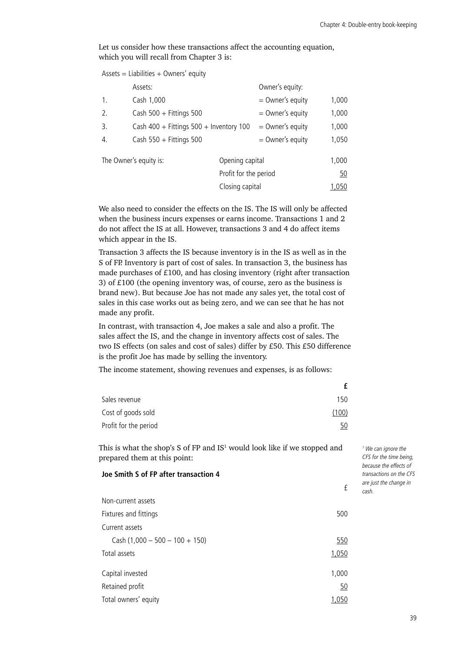Let us consider how these transactions affect the accounting equation, which you will recall from Chapter 3 is:

|                | $Assets = Liabilities + Owners' equity$     |                       |                    |       |
|----------------|---------------------------------------------|-----------------------|--------------------|-------|
|                | Assets:                                     |                       | Owner's equity:    |       |
| $\mathbf{1}$ . | Cash 1,000                                  |                       | $=$ Owner's equity | 1,000 |
| 2.             | Cash $500 +$ Fittings 500                   |                       | $=$ Owner's equity | 1,000 |
| 3.             | Cash $400 +$ Fittings $500 +$ Inventory 100 |                       | $=$ Owner's equity | 1,000 |
| 4.             | Cash $550 +$ Fittings 500                   |                       | $=$ Owner's equity | 1,050 |
|                | The Owner's equity is:                      | Opening capital       |                    | 1,000 |
|                |                                             | Profit for the period |                    | 50    |
|                |                                             | Closing capital       |                    | 1,050 |

We also need to consider the effects on the IS. The IS will only be affected when the business incurs expenses or earns income. Transactions 1 and 2 do not affect the IS at all. However, transactions 3 and 4 do affect items which appear in the IS.

Transaction 3 affects the IS because inventory is in the IS as well as in the S of FP. Inventory is part of cost of sales. In transaction 3, the business has made purchases of £100, and has closing inventory (right after transaction 3) of £100 (the opening inventory was, of course, zero as the business is brand new). But because Joe has not made any sales yet, the total cost of sales in this case works out as being zero, and we can see that he has not made any profit.

In contrast, with transaction 4, Joe makes a sale and also a profit. The sales affect the IS, and the change in inventory affects cost of sales. The two IS effects (on sales and cost of sales) differ by £50. This £50 difference is the profit Joe has made by selling the inventory.

The income statement, showing revenues and expenses, is as follows:

| Sales revenue         | 150   |
|-----------------------|-------|
| Cost of goods sold    | (100) |
| Profit for the period | 50    |

This is what the shop's S of FP and  $IS<sup>1</sup>$  would look like if we stopped and prepared them at this point:

#### **Joe Smith S of FP after transaction 4**

| Non-current assets               |       |
|----------------------------------|-------|
| Fixtures and fittings            | 500   |
| Current assets                   |       |
| Cash $(1,000 - 500 - 100 + 150)$ | 550   |
| Total assets                     | 1,050 |
| Capital invested                 | 1,000 |
| Retained profit                  | 50    |
| Total owners' equity             | 1,050 |

*1 We can ignore the CFS for the time being, because the effects of transactions on the CFS are just the change in cash.*

£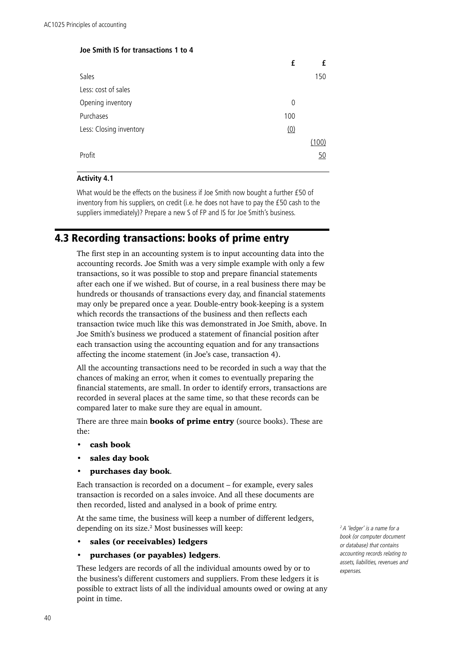#### <span id="page-45-0"></span>**Joe Smith IS for transactions 1 to 4**

|                         | f           |       |
|-------------------------|-------------|-------|
| Sales                   |             | 150   |
| Less: cost of sales     |             |       |
| Opening inventory       | $\mathbf 0$ |       |
| Purchases               | 100         |       |
| Less: Closing inventory | (0)         |       |
|                         |             | (100) |
| Profit                  |             | 50    |

#### **Activity 4.1**

What would be the effects on the business if Joe Smith now bought a further £50 of inventory from his suppliers, on credit (i.e. he does not have to pay the £50 cash to the suppliers immediately)? Prepare a new S of FP and IS for Joe Smith's business.

# 4.3 Recording transactions: books of prime entry

The first step in an accounting system is to input accounting data into the accounting records. Joe Smith was a very simple example with only a few transactions, so it was possible to stop and prepare financial statements after each one if we wished. But of course, in a real business there may be hundreds or thousands of transactions every day, and financial statements may only be prepared once a year. Double-entry book-keeping is a system which records the transactions of the business and then reflects each transaction twice much like this was demonstrated in Joe Smith, above. In Joe Smith's business we produced a statement of financial position after each transaction using the accounting equation and for any transactions affecting the income statement (in Joe's case, transaction 4).

All the accounting transactions need to be recorded in such a way that the chances of making an error, when it comes to eventually preparing the financial statements, are small. In order to identify errors, transactions are recorded in several places at the same time, so that these records can be compared later to make sure they are equal in amount.

There are three main **books of prime entry** (source books). These are the:

- cash book
- sales day book
- purchases day book.

Each transaction is recorded on a document – for example, every sales transaction is recorded on a sales invoice. And all these documents are then recorded, listed and analysed in a book of prime entry.

At the same time, the business will keep a number of different ledgers, depending on its size.<sup>2</sup> Most businesses will keep:

sales (or receivables) ledgers

#### • purchases (or payables) ledgers.

These ledgers are records of all the individual amounts owed by or to the business's different customers and suppliers. From these ledgers it is possible to extract lists of all the individual amounts owed or owing at any point in time.

*2 A 'ledger' is a name for a book (or computer document or database) that contains accounting records relating to assets, liabilities, revenues and expenses.*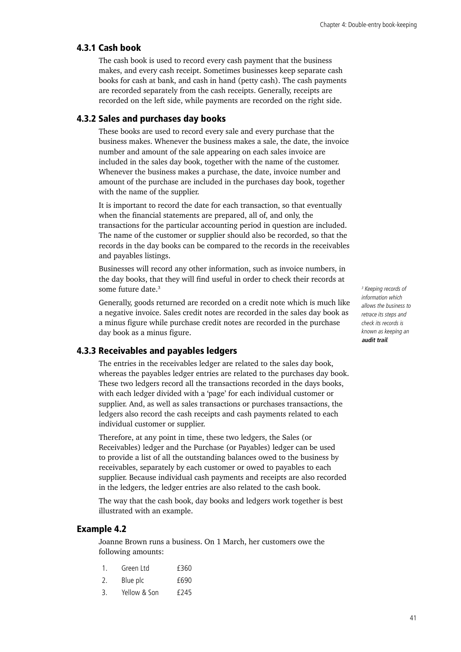## 4.3.1 Cash book

The cash book is used to record every cash payment that the business makes, and every cash receipt. Sometimes businesses keep separate cash books for cash at bank, and cash in hand (petty cash). The cash payments are recorded separately from the cash receipts. Generally, receipts are recorded on the left side, while payments are recorded on the right side.

## 4.3.2 Sales and purchases day books

These books are used to record every sale and every purchase that the business makes. Whenever the business makes a sale, the date, the invoice number and amount of the sale appearing on each sales invoice are included in the sales day book, together with the name of the customer. Whenever the business makes a purchase, the date, invoice number and amount of the purchase are included in the purchases day book, together with the name of the supplier.

It is important to record the date for each transaction, so that eventually when the financial statements are prepared, all of, and only, the transactions for the particular accounting period in question are included. The name of the customer or supplier should also be recorded, so that the records in the day books can be compared to the records in the receivables and payables listings.

Businesses will record any other information, such as invoice numbers, in the day books, that they will find useful in order to check their records at some future date.<sup>3</sup>

Generally, goods returned are recorded on a credit note which is much like a negative invoice. Sales credit notes are recorded in the sales day book as a minus figure while purchase credit notes are recorded in the purchase day book as a minus figure.

# 4.3.3 Receivables and payables ledgers

The entries in the receivables ledger are related to the sales day book, whereas the payables ledger entries are related to the purchases day book. These two ledgers record all the transactions recorded in the days books, with each ledger divided with a 'page' for each individual customer or supplier. And, as well as sales transactions or purchases transactions, the ledgers also record the cash receipts and cash payments related to each individual customer or supplier.

Therefore, at any point in time, these two ledgers, the Sales (or Receivables) ledger and the Purchase (or Payables) ledger can be used to provide a list of all the outstanding balances owed to the business by receivables, separately by each customer or owed to payables to each supplier. Because individual cash payments and receipts are also recorded in the ledgers, the ledger entries are also related to the cash book.

The way that the cash book, day books and ledgers work together is best illustrated with an example.

# Example 4.2

Joanne Brown runs a business. On 1 March, her customers owe the following amounts:

| $\mathbf{1}$ . | Green I td   | £360             |
|----------------|--------------|------------------|
| 2.             | Blue plc     | £690             |
| 3.             | Yellow & Son | f <sub>245</sub> |

*3 Keeping records of information which allows the business to retrace its steps and check its records is known as keeping an*  **audit trail***.*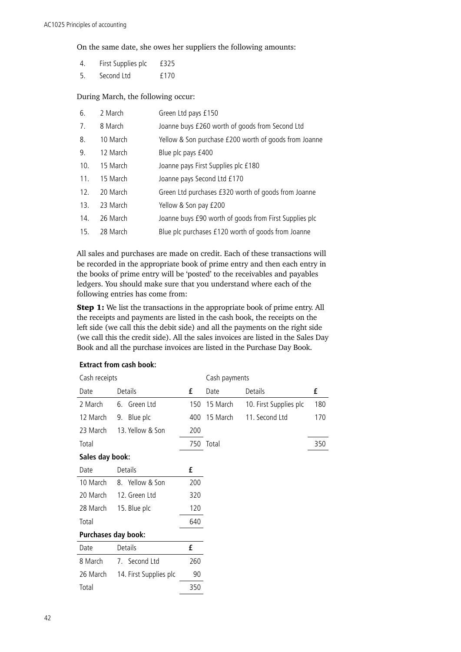On the same date, she owes her suppliers the following amounts:

- 4. First Supplies plc £325
- 5. Second Ltd £170

#### During March, the following occur:

| 6.  | 2 March  | Green Ltd pays £150                                    |
|-----|----------|--------------------------------------------------------|
| 7.  | 8 March  | Joanne buys £260 worth of goods from Second Ltd        |
| 8.  | 10 March | Yellow & Son purchase £200 worth of goods from Joanne  |
| 9.  | 12 March | Blue plc pays £400                                     |
| 10. | 15 March | Joanne pays First Supplies plc £180                    |
| 11. | 15 March | Joanne pays Second Ltd £170                            |
| 12. | 20 March | Green Ltd purchases £320 worth of goods from Joanne    |
| 13. | 23 March | Yellow & Son pay £200                                  |
| 14. | 26 March | Joanne buys £90 worth of goods from First Supplies plc |
| 15. | 28 March | Blue plc purchases £120 worth of goods from Joanne     |

All sales and purchases are made on credit. Each of these transactions will be recorded in the appropriate book of prime entry and then each entry in the books of prime entry will be 'posted' to the receivables and payables ledgers. You should make sure that you understand where each of the following entries has come from:

Step 1: We list the transactions in the appropriate book of prime entry. All the receipts and payments are listed in the cash book, the receipts on the left side (we call this the debit side) and all the payments on the right side (we call this the credit side). All the sales invoices are listed in the Sales Day Book and all the purchase invoices are listed in the Purchase Day Book.

| Cash receipts       |                        |     | Cash payments |                        |     |
|---------------------|------------------------|-----|---------------|------------------------|-----|
| Date                | Details                | £   | Date          | Details                | £   |
| 2 March             | Green Ltd<br>6.        | 150 | 15 March      | 10. First Supplies plc | 180 |
| 12 March            | Blue plc<br>9.         | 400 | 15 March      | 11. Second Ltd         | 170 |
| 23 March            | 13. Yellow & Son       | 200 |               |                        |     |
| Total               |                        |     | 750 Total     |                        | 350 |
| Sales day book:     |                        |     |               |                        |     |
| Date                | Details                | £   |               |                        |     |
| 10 March            | 8. Yellow & Son        | 200 |               |                        |     |
| 20 March            | 12. Green Ltd          | 320 |               |                        |     |
| 28 March            | 15. Blue plc           | 120 |               |                        |     |
| Total               |                        | 640 |               |                        |     |
| Purchases day book: |                        |     |               |                        |     |
| Date                | Details                | £   |               |                        |     |
| 8 March             | 7. Second Ltd          | 260 |               |                        |     |
| 26 March            | 14. First Supplies plc | 90  |               |                        |     |
| Total               |                        | 350 |               |                        |     |

#### **Extract from cash book:**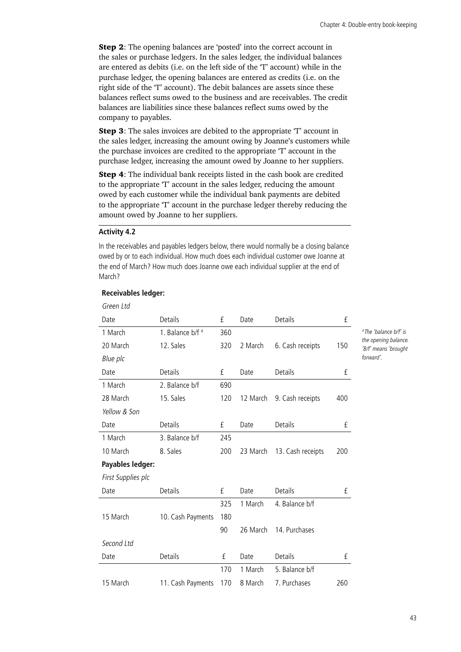**Step 2:** The opening balances are 'posted' into the correct account in the sales or purchase ledgers. In the sales ledger, the individual balances are entered as debits (i.e. on the left side of the 'T' account) while in the purchase ledger, the opening balances are entered as credits (i.e. on the right side of the 'T' account). The debit balances are assets since these balances reflect sums owed to the business and are receivables. The credit balances are liabilities since these balances reflect sums owed by the company to payables.

Step 3: The sales invoices are debited to the appropriate 'T' account in the sales ledger, increasing the amount owing by Joanne's customers while the purchase invoices are credited to the appropriate 'T' account in the purchase ledger, increasing the amount owed by Joanne to her suppliers.

**Step 4:** The individual bank receipts listed in the cash book are credited to the appropriate 'T' account in the sales ledger, reducing the amount owed by each customer while the individual bank payments are debited to the appropriate 'T' account in the purchase ledger thereby reducing the amount owed by Joanne to her suppliers.

## **Activity 4.2**

In the receivables and payables ledgers below, there would normally be a closing balance owed by or to each individual. How much does each individual customer owe Joanne at the end of March? How much does Joanne owe each individual supplier at the end of March?

| Green Ltd          |                             |     |          |                   |          |                                              |
|--------------------|-----------------------------|-----|----------|-------------------|----------|----------------------------------------------|
| Date               | Details                     | £   | Date     | Details           | $\rm{f}$ |                                              |
| 1 March            | 1. Balance b/f <sup>4</sup> | 360 |          |                   |          | <sup>4</sup> The 'balance b/f' is            |
| 20 March           | 12. Sales                   | 320 | 2 March  | 6. Cash receipts  | 150      | the opening balance.<br>'B/f' means 'brought |
| Blue plc           |                             |     |          |                   |          | forward'.                                    |
| Date               | Details                     | £   | Date     | <b>Details</b>    | $\rm f$  |                                              |
| 1 March            | 2. Balance b/f              | 690 |          |                   |          |                                              |
| 28 March           | 15. Sales                   | 120 | 12 March | 9. Cash receipts  | 400      |                                              |
| Yellow & Son       |                             |     |          |                   |          |                                              |
| Date               | Details                     | £   | Date     | Details           | £        |                                              |
| 1 March            | 3. Balance b/f              | 245 |          |                   |          |                                              |
| 10 March           | 8. Sales                    | 200 | 23 March | 13. Cash receipts | 200      |                                              |
| Payables ledger:   |                             |     |          |                   |          |                                              |
| First Supplies plc |                             |     |          |                   |          |                                              |
| Date               | Details                     | £   | Date     | Details           | £        |                                              |
|                    |                             | 325 | 1 March  | 4. Balance b/f    |          |                                              |
| 15 March           | 10. Cash Payments           | 180 |          |                   |          |                                              |
|                    |                             | 90  | 26 March | 14. Purchases     |          |                                              |
| Second Ltd         |                             |     |          |                   |          |                                              |
| Date               | <b>Details</b>              | £   | Date     | <b>Details</b>    | £        |                                              |
|                    |                             | 170 | 1 March  | 5. Balance b/f    |          |                                              |
| 15 March           | 11. Cash Payments           | 170 | 8 March  | 7. Purchases      | 260      |                                              |

#### **Receivables ledger:**

43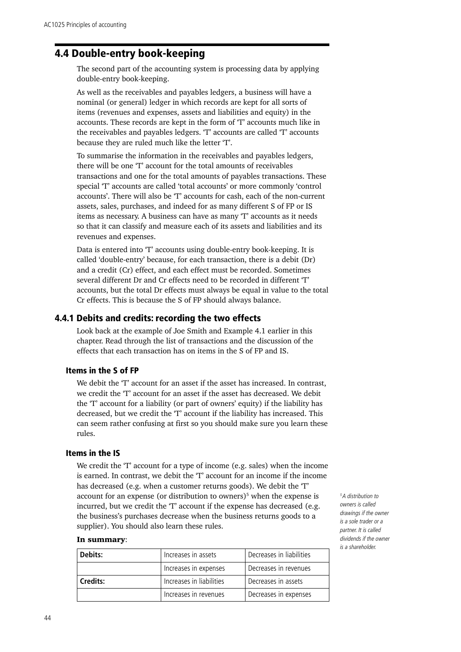# <span id="page-49-0"></span>4.4 Double-entry book-keeping

The second part of the accounting system is processing data by applying double-entry book-keeping.

As well as the receivables and payables ledgers, a business will have a nominal (or general) ledger in which records are kept for all sorts of items (revenues and expenses, assets and liabilities and equity) in the accounts. These records are kept in the form of 'T' accounts much like in the receivables and payables ledgers. 'T' accounts are called 'T' accounts because they are ruled much like the letter 'T'.

To summarise the information in the receivables and payables ledgers, there will be one 'T' account for the total amounts of receivables transactions and one for the total amounts of payables transactions. These special 'T' accounts are called 'total accounts' or more commonly 'control accounts'. There will also be 'T' accounts for cash, each of the non-current assets, sales, purchases, and indeed for as many different S of FP or IS items as necessary. A business can have as many 'T' accounts as it needs so that it can classify and measure each of its assets and liabilities and its revenues and expenses.

Data is entered into 'T' accounts using double-entry book-keeping. It is called 'double-entry' because, for each transaction, there is a debit (Dr) and a credit (Cr) effect, and each effect must be recorded. Sometimes several different Dr and Cr effects need to be recorded in different 'T' accounts, but the total Dr effects must always be equal in value to the total Cr effects. This is because the S of FP should always balance.

## 4.4.1 Debits and credits: recording the two effects

Look back at the example of Joe Smith and Example 4.1 earlier in this chapter. Read through the list of transactions and the discussion of the effects that each transaction has on items in the S of FP and IS.

## Items in the S of FP

We debit the 'T' account for an asset if the asset has increased. In contrast, we credit the 'T' account for an asset if the asset has decreased. We debit the 'T' account for a liability (or part of owners' equity) if the liability has decreased, but we credit the 'T' account if the liability has increased. This can seem rather confusing at first so you should make sure you learn these rules.

## Items in the IS

We credit the 'T' account for a type of income (e.g. sales) when the income is earned. In contrast, we debit the 'T' account for an income if the income has decreased (e.g. when a customer returns goods). We debit the 'T' account for an expense (or distribution to owners)<sup>5</sup> when the expense is incurred, but we credit the 'T' account if the expense has decreased (e.g. the business's purchases decrease when the business returns goods to a supplier). You should also learn these rules.

#### In summary:

| Debits:         | Increases in assets      | Decreases in liabilities |  |
|-----------------|--------------------------|--------------------------|--|
|                 | Increases in expenses    | Decreases in revenues    |  |
| <b>Credits:</b> | Increases in liabilities | Decreases in assets      |  |
|                 | Increases in revenues    | Decreases in expenses    |  |

*5 A distribution to owners is called drawings if the owner is a sole trader or a partner. It is called dividends if the owner is a shareholder.*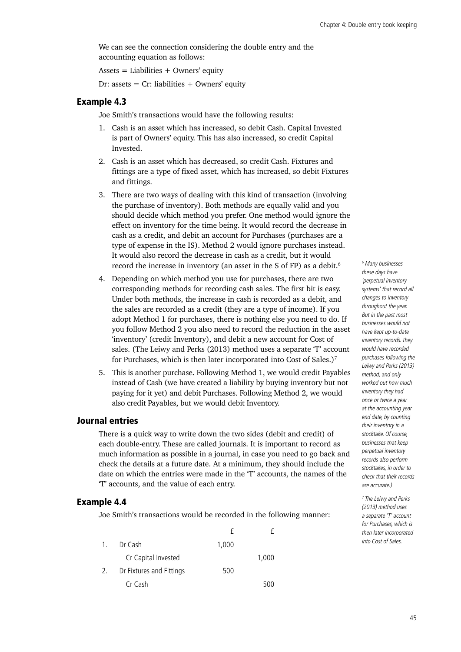We can see the connection considering the double entry and the accounting equation as follows:

Assets = Liabilities  $+$  Owners' equity

Dr: assets =  $Cr$ : liabilities + Owners' equity

#### Example 4.3

Joe Smith's transactions would have the following results:

- 1. Cash is an asset which has increased, so debit Cash. Capital Invested is part of Owners' equity. This has also increased, so credit Capital Invested.
- 2. Cash is an asset which has decreased, so credit Cash. Fixtures and fittings are a type of fixed asset, which has increased, so debit Fixtures and fittings.
- 3. There are two ways of dealing with this kind of transaction (involving the purchase of inventory). Both methods are equally valid and you should decide which method you prefer. One method would ignore the effect on inventory for the time being. It would record the decrease in cash as a credit, and debit an account for Purchases (purchases are a type of expense in the IS). Method 2 would ignore purchases instead. It would also record the decrease in cash as a credit, but it would record the increase in inventory (an asset in the S of FP) as a debit.<sup>6</sup>
- 4. Depending on which method you use for purchases, there are two corresponding methods for recording cash sales. The first bit is easy. Under both methods, the increase in cash is recorded as a debit, and the sales are recorded as a credit (they are a type of income). If you adopt Method 1 for purchases, there is nothing else you need to do. If you follow Method 2 you also need to record the reduction in the asset 'inventory' (credit Inventory), and debit a new account for Cost of sales. (The Leiwy and Perks (2013) method uses a separate 'T' account for Purchases, which is then later incorporated into Cost of Sales.)<sup>7</sup>
- 5. This is another purchase. Following Method 1, we would credit Payables instead of Cash (we have created a liability by buying inventory but not paying for it yet) and debit Purchases. Following Method 2, we would also credit Payables, but we would debit Inventory.

# Journal entries

There is a quick way to write down the two sides (debit and credit) of each double-entry. These are called journals. It is important to record as much information as possible in a journal, in case you need to go back and check the details at a future date. At a minimum, they should include the date on which the entries were made in the 'T' accounts, the names of the 'T' accounts, and the value of each entry.

#### Example 4.4

Joe Smith's transactions would be recorded in the following manner:

| $\mathbf{1}$ . | Dr Cash                  | 1,000 |       |
|----------------|--------------------------|-------|-------|
|                | Cr Capital Invested      |       | 1,000 |
| 2.             | Dr Fixtures and Fittings | 500   |       |
|                | Cr Cash                  |       | 500   |

*6 Many businesses these days have 'perpetual inventory systems' that record all changes to inventory throughout the year. But in the past most businesses would not have kept up-to-date inventory records. They would have recorded purchases following the Leiwy and Perks (2013) method, and only worked out how much inventory they had once or twice a year at the accounting year end date, by counting their inventory in a stocktake. Of course, businesses that keep perpetual inventory records also perform stocktakes, in order to check that their records are accurate.)*

*7 The Leiwy and Perks (2013) method uses a separate 'T' account for Purchases, which is then later incorporated into Cost of Sales.*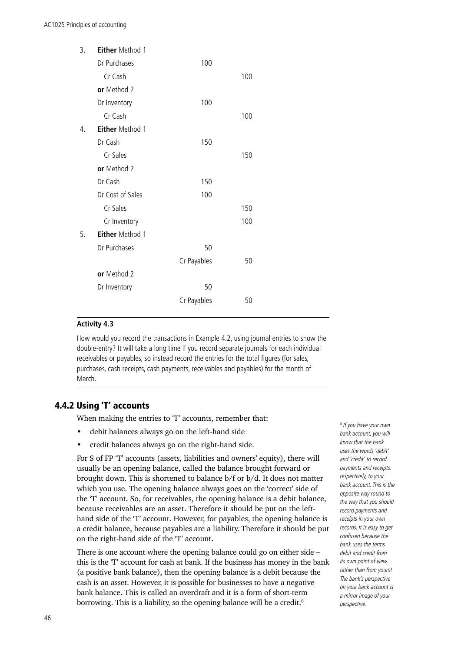| 3.               | <b>Either Method 1</b> |             |     |  |
|------------------|------------------------|-------------|-----|--|
|                  | Dr Purchases           | 100         |     |  |
|                  | Cr Cash                |             | 100 |  |
|                  | or Method 2            |             |     |  |
|                  | Dr Inventory           | 100         |     |  |
|                  | Cr Cash                |             | 100 |  |
| $\overline{4}$ . | <b>Either Method 1</b> |             |     |  |
|                  | Dr Cash                | 150         |     |  |
|                  | Cr Sales               |             | 150 |  |
|                  | or Method 2            |             |     |  |
|                  | Dr Cash                | 150         |     |  |
|                  | Dr Cost of Sales       | 100         |     |  |
|                  | Cr Sales               |             | 150 |  |
|                  | Cr Inventory           |             | 100 |  |
| 5.               | <b>Either Method 1</b> |             |     |  |
|                  | Dr Purchases           | 50          |     |  |
|                  |                        | Cr Payables | 50  |  |
|                  | or Method 2            |             |     |  |
|                  | Dr Inventory           | 50          |     |  |
|                  |                        | Cr Payables | 50  |  |
|                  |                        |             |     |  |

#### **Activity 4.3**

How would you record the transactions in Example 4.2, using journal entries to show the double-entry? It will take a long time if you record separate journals for each individual receivables or payables, so instead record the entries for the total figures (for sales, purchases, cash receipts, cash payments, receivables and payables) for the month of March.

# 4.4.2 Using 'T' accounts

When making the entries to 'T' accounts, remember that:

- debit balances always go on the left-hand side
- credit balances always go on the right-hand side.

For S of FP 'T' accounts (assets, liabilities and owners' equity), there will usually be an opening balance, called the balance brought forward or brought down. This is shortened to balance b/f or b/d. It does not matter which you use. The opening balance always goes on the 'correct' side of the 'T' account. So, for receivables, the opening balance is a debit balance, because receivables are an asset. Therefore it should be put on the lefthand side of the 'T' account. However, for payables, the opening balance is a credit balance, because payables are a liability. Therefore it should be put on the right-hand side of the 'T' account.

There is one account where the opening balance could go on either side – this is the 'T' account for cash at bank. If the business has money in the bank (a positive bank balance), then the opening balance is a debit because the cash is an asset. However, it is possible for businesses to have a negative bank balance. This is called an overdraft and it is a form of short-term borrowing. This is a liability, so the opening balance will be a credit.<sup>8</sup>

*8 If you have your own bank account, you will know that the bank uses the words 'debit' and 'credit' to record payments and receipts, respectively, to your bank account. This is the opposite way round to the way that you should record payments and receipts in your own records. It is easy to get confused because the bank uses the terms debit and credit from its own point of view, rather than from yours! The bank's perspective on your bank account is a mirror image of your perspective.*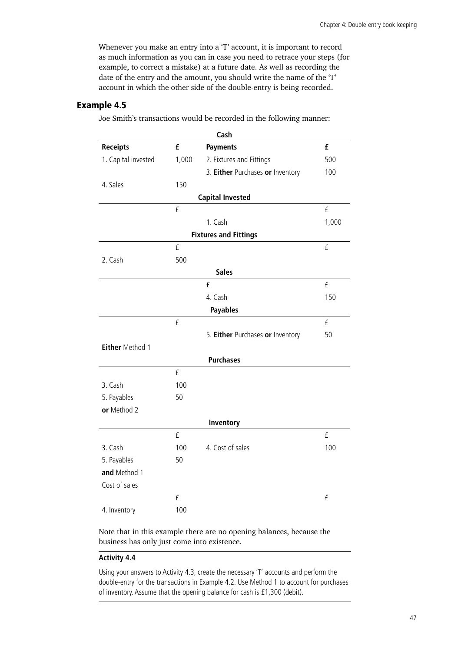Whenever you make an entry into a 'T' account, it is important to record as much information as you can in case you need to retrace your steps (for example, to correct a mistake) at a future date. As well as recording the date of the entry and the amount, you should write the name of the 'T' account in which the other side of the double-entry is being recorded.

# Example 4.5

Joe Smith's transactions would be recorded in the following manner:

| Cash                |       |                                  |          |  |
|---------------------|-------|----------------------------------|----------|--|
| <b>Receipts</b>     | £     | <b>Payments</b>                  | £        |  |
| 1. Capital invested | 1,000 | 2. Fixtures and Fittings         | 500      |  |
|                     |       | 3. Either Purchases or Inventory | 100      |  |
| 4. Sales            | 150   |                                  |          |  |
|                     |       | <b>Capital Invested</b>          |          |  |
|                     | £     |                                  | £        |  |
|                     |       | 1. Cash                          | 1,000    |  |
|                     |       | <b>Fixtures and Fittings</b>     |          |  |
|                     | £     |                                  | $\rm{f}$ |  |
| 2. Cash             | 500   |                                  |          |  |
|                     |       | <b>Sales</b>                     |          |  |
|                     |       | £                                | $\rm{f}$ |  |
|                     |       | 4. Cash                          | 150      |  |
|                     |       | <b>Payables</b>                  |          |  |
|                     | £     |                                  | £        |  |
|                     |       | 5. Either Purchases or Inventory | 50       |  |
| Either Method 1     |       |                                  |          |  |
|                     |       | <b>Purchases</b>                 |          |  |
|                     | £     |                                  |          |  |
| 3. Cash             | 100   |                                  |          |  |
| 5. Payables         | 50    |                                  |          |  |
| or Method 2         |       |                                  |          |  |
|                     |       | Inventory                        |          |  |
|                     | £     |                                  | $\rm f$  |  |
| 3. Cash             | 100   | 4. Cost of sales                 | 100      |  |
| 5. Payables         | 50    |                                  |          |  |
| and Method 1        |       |                                  |          |  |
| Cost of sales       |       |                                  |          |  |
|                     | £     |                                  | $\rm{f}$ |  |
| 4. Inventory        | 100   |                                  |          |  |

Note that in this example there are no opening balances, because the business has only just come into existence.

#### **Activity 4.4**

Using your answers to Activity 4.3, create the necessary 'T' accounts and perform the double-entry for the transactions in Example 4.2. Use Method 1 to account for purchases of inventory. Assume that the opening balance for cash is £1,300 (debit).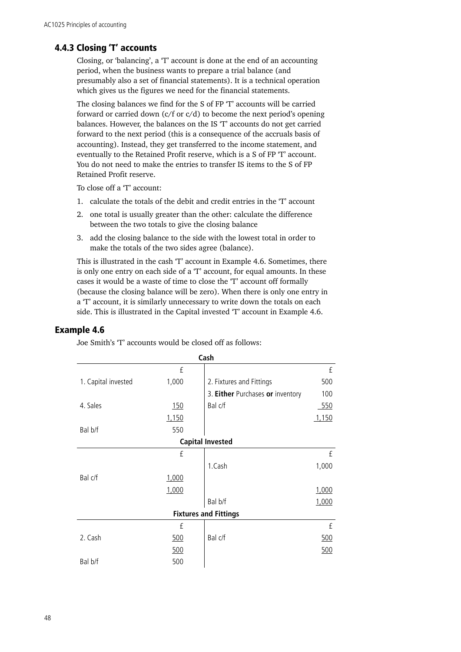# 4.4.3 Closing 'T' accounts

Closing, or 'balancing', a 'T' account is done at the end of an accounting period, when the business wants to prepare a trial balance (and presumably also a set of financial statements). It is a technical operation which gives us the figures we need for the financial statements.

The closing balances we find for the S of FP 'T' accounts will be carried forward or carried down  $(c/f or c/d)$  to become the next period's opening balances. However, the balances on the IS 'T' accounts do not get carried forward to the next period (this is a consequence of the accruals basis of accounting). Instead, they get transferred to the income statement, and eventually to the Retained Profit reserve, which is a S of FP 'T' account. You do not need to make the entries to transfer IS items to the S of FP Retained Profit reserve.

To close off a 'T' account:

- 1. calculate the totals of the debit and credit entries in the 'T' account
- 2. one total is usually greater than the other: calculate the difference between the two totals to give the closing balance
- 3. add the closing balance to the side with the lowest total in order to make the totals of the two sides agree (balance).

This is illustrated in the cash 'T' account in Example 4.6. Sometimes, there is only one entry on each side of a 'T' account, for equal amounts. In these cases it would be a waste of time to close the 'T' account off formally (because the closing balance will be zero). When there is only one entry in a 'T' account, it is similarly unnecessary to write down the totals on each side. This is illustrated in the Capital invested 'T' account in Example 4.6.

## Example 4.6

|                     |       | Cash                             |       |
|---------------------|-------|----------------------------------|-------|
|                     | £     |                                  | £     |
| 1. Capital invested | 1,000 | 2. Fixtures and Fittings         | 500   |
|                     |       | 3. Either Purchases or inventory | 100   |
| 4. Sales            | 150   | Bal c/f                          | 550   |
|                     | 1,150 |                                  | 1,150 |
| Bal b/f             | 550   |                                  |       |
|                     |       | <b>Capital Invested</b>          |       |
|                     | £     |                                  | £     |
|                     |       | 1.Cash                           | 1,000 |
| Bal c/f             | 1,000 |                                  |       |
|                     | 1,000 |                                  | 1,000 |
|                     |       | Bal b/f                          | 1,000 |
|                     |       | <b>Fixtures and Fittings</b>     |       |
|                     | £     |                                  | £     |
| 2. Cash             | 500   | Bal c/f                          | 500   |
|                     | 500   |                                  | 500   |
| Bal b/f             | 500   |                                  |       |

Joe Smith's 'T' accounts would be closed off as follows: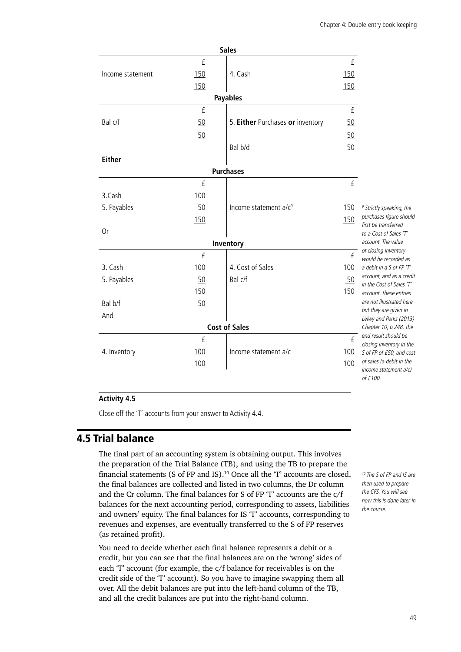<span id="page-54-0"></span>

|                  |            | <b>Sales</b>                      |              |                                                      |
|------------------|------------|-----------------------------------|--------------|------------------------------------------------------|
|                  | £          |                                   | £            |                                                      |
| Income statement | <u>150</u> | 4. Cash                           | 150          |                                                      |
|                  | 150        |                                   | 150          |                                                      |
|                  |            | <b>Payables</b>                   |              |                                                      |
|                  | £          |                                   | £            |                                                      |
| Bal c/f          | 50         | 5. Either Purchases or inventory  | 50           |                                                      |
|                  | 50         |                                   | 50           |                                                      |
|                  |            | Bal b/d                           | 50           |                                                      |
| <b>Either</b>    |            |                                   |              |                                                      |
|                  |            | <b>Purchases</b>                  |              |                                                      |
|                  | $\rm f$    |                                   | $\mathsf{f}$ |                                                      |
| 3.Cash           | 100        |                                   |              |                                                      |
| 5. Payables      | 50         | Income statement a/c <sup>9</sup> | 150          | <sup>9</sup> Strictly speaking, the                  |
|                  | 150        |                                   | 150          | purchases figure should<br>first be transferred      |
| 0r               |            |                                   |              | to a Cost of Sales 'T'                               |
|                  |            | Inventory                         |              | account. The value                                   |
|                  | £          |                                   | £            | of closing inventory<br>would be recorded as         |
| 3. Cash          | 100        | 4. Cost of Sales                  | 100          | a debit in a S of FP 'T'                             |
| 5. Payables      | 50         | Bal c/f                           | 50           | account, and as a credit<br>in the Cost of Sales 'T' |
|                  | 150        |                                   | 150          | account. These entries                               |
| Bal b/f          | 50         |                                   |              | are not illustrated here                             |
| And              |            |                                   |              | but they are given in<br>Leiwy and Perks (2013)      |
|                  |            | <b>Cost of Sales</b>              |              | Chapter 10, p.248. The                               |
|                  | £          |                                   | $\rm{f}$     | end result should be<br>closing inventory in the     |
| 4. Inventory     | 100        | Income statement a/c              | 100          | S of FP of £50, and cost                             |
|                  | 100        |                                   | 100          | of sales (a debit in the<br>income statement a/c)    |
|                  |            |                                   |              | of £100.                                             |

#### **Activity 4.5**

Close off the 'T' accounts from your answer to Activity 4.4.

# 4.5 Trial balance

The final part of an accounting system is obtaining output. This involves the preparation of the Trial Balance (TB), and using the TB to prepare the financial statements (S of FP and IS).10 Once all the 'T' accounts are closed, the final balances are collected and listed in two columns, the Dr column and the Cr column. The final balances for S of FP 'T' accounts are the c/f balances for the next accounting period, corresponding to assets, liabilities and owners' equity. The final balances for IS 'T' accounts, corresponding to revenues and expenses, are eventually transferred to the S of FP reserves (as retained profit).

You need to decide whether each final balance represents a debit or a credit, but you can see that the final balances are on the 'wrong' sides of each 'T' account (for example, the c/f balance for receivables is on the credit side of the 'T' account). So you have to imagine swapping them all over. All the debit balances are put into the left-hand column of the TB, and all the credit balances are put into the right-hand column.

*10 The S of FP and IS are then used to prepare the CFS. You will see how this is done later in the course.*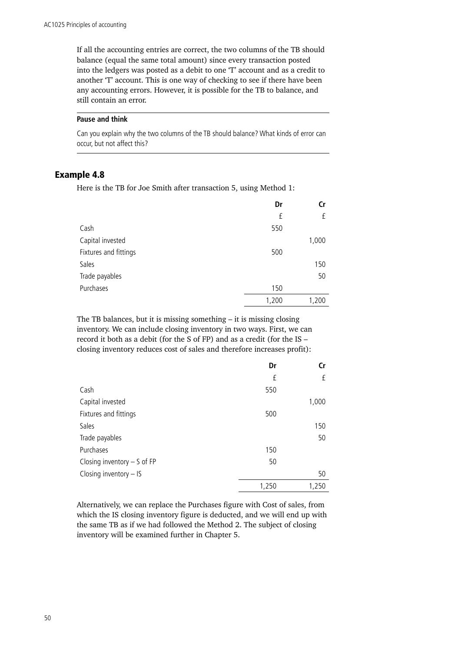If all the accounting entries are correct, the two columns of the TB should balance (equal the same total amount) since every transaction posted into the ledgers was posted as a debit to one 'T' account and as a credit to another 'T' account. This is one way of checking to see if there have been any accounting errors. However, it is possible for the TB to balance, and still contain an error.

#### **Pause and think**

Can you explain why the two columns of the TB should balance? What kinds of error can occur, but not affect this?

## Example 4.8

Here is the TB for Joe Smith after transaction 5, using Method 1:

|                       | Dr    | Cr    |
|-----------------------|-------|-------|
|                       | £     | £     |
| Cash                  | 550   |       |
| Capital invested      |       | 1,000 |
| Fixtures and fittings | 500   |       |
| Sales                 |       | 150   |
| Trade payables        |       | 50    |
| Purchases             | 150   |       |
|                       | 1,200 | 1,200 |

The TB balances, but it is missing something – it is missing closing inventory. We can include closing inventory in two ways. First, we can record it both as a debit (for the S of FP) and as a credit (for the IS – closing inventory reduces cost of sales and therefore increases profit):

|                               | Dr    | Cr    |
|-------------------------------|-------|-------|
|                               | £     | £     |
| Cash                          | 550   |       |
| Capital invested              |       | 1,000 |
| Fixtures and fittings         | 500   |       |
| Sales                         |       | 150   |
| Trade payables                |       | 50    |
| Purchases                     | 150   |       |
| Closing inventory $-$ S of FP | 50    |       |
| Closing inventory $-$ IS      |       | 50    |
|                               | 1,250 | 1,250 |

Alternatively, we can replace the Purchases figure with Cost of sales, from which the IS closing inventory figure is deducted, and we will end up with the same TB as if we had followed the Method 2. The subject of closing inventory will be examined further in Chapter 5.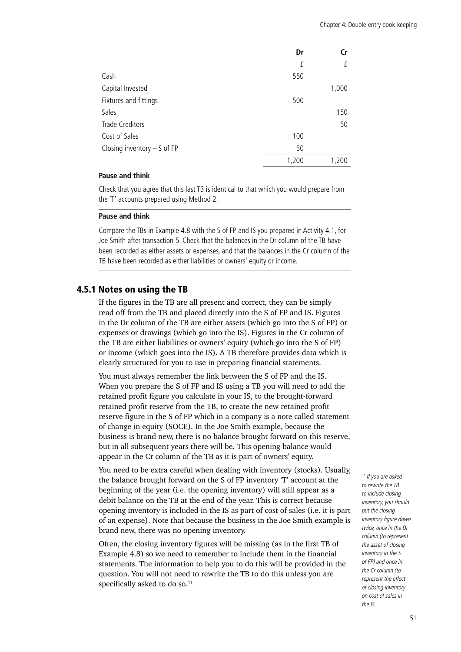|                               | Dr    | Cr    |
|-------------------------------|-------|-------|
|                               | £     | £     |
| Cash                          | 550   |       |
| Capital Invested              |       | 1,000 |
| Fixtures and fittings         | 500   |       |
| Sales                         |       | 150   |
| Trade Creditors               |       | 50    |
| Cost of Sales                 | 100   |       |
| Closing inventory $-$ S of FP | 50    |       |
|                               | 1,200 | 1,200 |

#### **Pause and think**

Check that you agree that this last TB is identical to that which you would prepare from the 'T' accounts prepared using Method 2.

#### **Pause and think**

Compare the TBs in Example 4.8 with the S of FP and IS you prepared in Activity 4.1, for Joe Smith after transaction 5. Check that the balances in the Dr column of the TB have been recorded as either assets or expenses, and that the balances in the Cr column of the TB have been recorded as either liabilities or owners' equity or income.

## 4.5.1 Notes on using the TB

If the figures in the TB are all present and correct, they can be simply read off from the TB and placed directly into the S of FP and IS. Figures in the Dr column of the TB are either assets (which go into the S of FP) or expenses or drawings (which go into the IS). Figures in the Cr column of the TB are either liabilities or owners' equity (which go into the S of FP) or income (which goes into the IS). A TB therefore provides data which is clearly structured for you to use in preparing financial statements.

You must always remember the link between the S of FP and the IS. When you prepare the S of FP and IS using a TB you will need to add the retained profit figure you calculate in your IS, to the brought-forward retained profit reserve from the TB, to create the new retained profit reserve figure in the S of FP which in a company is a note called statement of change in equity (SOCE). In the Joe Smith example, because the business is brand new, there is no balance brought forward on this reserve, but in all subsequent years there will be. This opening balance would appear in the Cr column of the TB as it is part of owners' equity.

You need to be extra careful when dealing with inventory (stocks). Usually, the balance brought forward on the S of FP inventory 'T' account at the beginning of the year (i.e. the opening inventory) will still appear as a debit balance on the TB at the end of the year. This is correct because opening inventory is included in the IS as part of cost of sales (i.e. it is part of an expense). Note that because the business in the Joe Smith example is brand new, there was no opening inventory.

Often, the closing inventory figures will be missing (as in the first TB of Example 4.8) so we need to remember to include them in the financial statements. The information to help you to do this will be provided in the question. You will not need to rewrite the TB to do this unless you are specifically asked to do so.<sup>11</sup>

*11 If you are asked to rewrite the TB to include closing inventory, you should put the closing inventory figure down twice, once in the Dr column (to represent the asset of closing inventory in the S of FP) and once in the Cr column (to represent the effect of closing inventory on cost of sales in the IS.*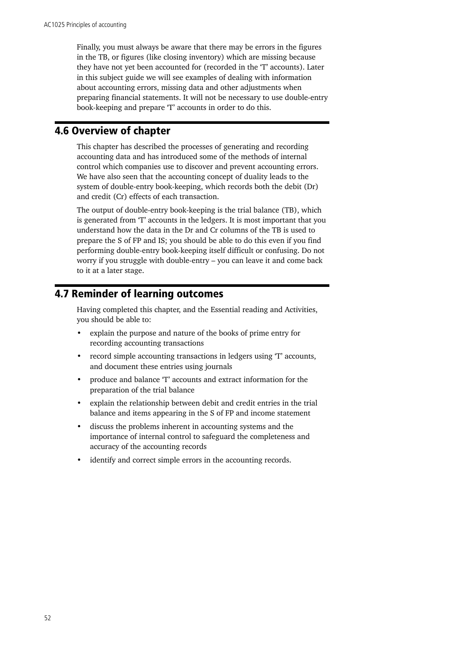<span id="page-57-0"></span>Finally, you must always be aware that there may be errors in the figures in the TB, or figures (like closing inventory) which are missing because they have not yet been accounted for (recorded in the 'T' accounts). Later in this subject guide we will see examples of dealing with information about accounting errors, missing data and other adjustments when preparing financial statements. It will not be necessary to use double-entry book-keeping and prepare 'T' accounts in order to do this.

# 4.6 Overview of chapter

This chapter has described the processes of generating and recording accounting data and has introduced some of the methods of internal control which companies use to discover and prevent accounting errors. We have also seen that the accounting concept of duality leads to the system of double-entry book-keeping, which records both the debit (Dr) and credit (Cr) effects of each transaction.

The output of double-entry book-keeping is the trial balance (TB), which is generated from 'T' accounts in the ledgers. It is most important that you understand how the data in the Dr and Cr columns of the TB is used to prepare the S of FP and IS; you should be able to do this even if you find performing double-entry book-keeping itself difficult or confusing. Do not worry if you struggle with double-entry – you can leave it and come back to it at a later stage.

# 4.7 Reminder of learning outcomes

Having completed this chapter, and the Essential reading and Activities, you should be able to:

- explain the purpose and nature of the books of prime entry for recording accounting transactions
- record simple accounting transactions in ledgers using 'T' accounts, and document these entries using journals
- produce and balance 'T' accounts and extract information for the preparation of the trial balance
- explain the relationship between debit and credit entries in the trial balance and items appearing in the S of FP and income statement
- discuss the problems inherent in accounting systems and the importance of internal control to safeguard the completeness and accuracy of the accounting records
- identify and correct simple errors in the accounting records.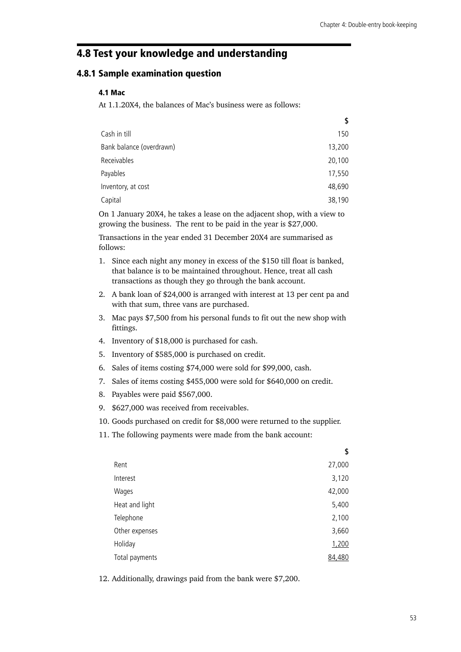# <span id="page-58-0"></span>4.8 Test your knowledge and understanding

## 4.8.1 Sample examination question

#### 4.1 Mac

At 1.1.20X4, the balances of Mac's business were as follows:

|                          | \$     |
|--------------------------|--------|
| Cash in till             | 150    |
| Bank balance (overdrawn) | 13,200 |
| Receivables              | 20,100 |
| Payables                 | 17,550 |
| Inventory, at cost       | 48,690 |
| Capital                  | 38,190 |

On 1 January 20X4, he takes a lease on the adjacent shop, with a view to growing the business. The rent to be paid in the year is \$27,000.

Transactions in the year ended 31 December 20X4 are summarised as follows:

- 1. Since each night any money in excess of the \$150 till float is banked, that balance is to be maintained throughout. Hence, treat all cash transactions as though they go through the bank account.
- 2. A bank loan of \$24,000 is arranged with interest at 13 per cent pa and with that sum, three vans are purchased.
- 3. Mac pays \$7,500 from his personal funds to fit out the new shop with fittings.
- 4. Inventory of \$18,000 is purchased for cash.
- 5. Inventory of \$585,000 is purchased on credit.
- 6. Sales of items costing \$74,000 were sold for \$99,000, cash.
- 7. Sales of items costing \$455,000 were sold for \$640,000 on credit.
- 8. Payables were paid \$567,000.
- 9. \$627,000 was received from receivables.
- 10. Goods purchased on credit for \$8,000 were returned to the supplier.
- 11. The following payments were made from the bank account:

| \$     |
|--------|
| 27,000 |
| 3,120  |
| 42,000 |
| 5,400  |
| 2,100  |
| 3,660  |
| 1,200  |
| 84,480 |
|        |

12. Additionally, drawings paid from the bank were \$7,200.